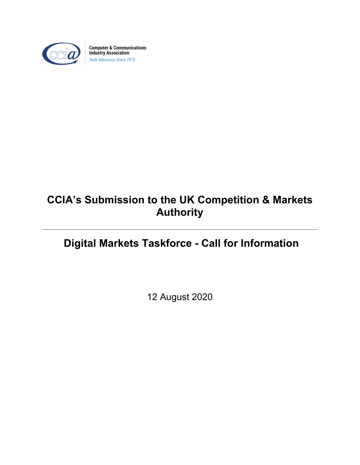

**Computer & Communications Industry Association Tech Advocacy Since 1972** 

# **CCIA's Submission to the UK Competition & Markets Authority**

# **Digital Markets Taskforce - Call for Information**

12 August 2020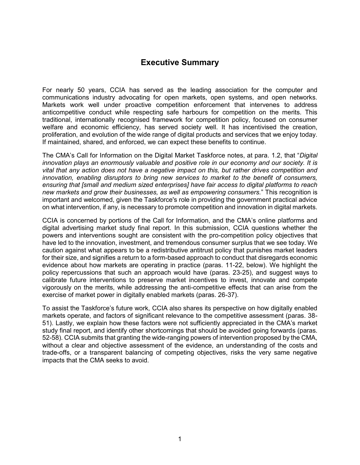# **Executive Summary**

For nearly 50 years, CCIA has served as the leading association for the computer and communications industry advocating for open markets, open systems, and open networks. Markets work well under proactive competition enforcement that intervenes to address anticompetitive conduct while respecting safe harbours for competition on the merits. This traditional, internationally recognised framework for competition policy, focused on consumer welfare and economic efficiency, has served society well. It has incentivised the creation, proliferation, and evolution of the wide range of digital products and services that we enjoy today. If maintained, shared, and enforced, we can expect these benefits to continue.

The CMA's Call for Information on the Digital Market Taskforce notes, at para. 1.2, that "*Digital innovation plays an enormously valuable and positive role in our economy and our society. It is vital that any action does not have a negative impact on this, but rather drives competition and innovation, enabling disruptors to bring new services to market to the benefit of consumers, ensuring that [small and medium sized enterprises] have fair access to digital platforms to reach new markets and grow their businesses, as well as empowering consumers.*" This recognition is important and welcomed, given the Taskforce's role in providing the government practical advice on what intervention, if any, is necessary to promote competition and innovation in digital markets.

CCIA is concerned by portions of the Call for Information, and the CMA's online platforms and digital advertising market study final report. In this submission, CCIA questions whether the powers and interventions sought are consistent with the pro-competition policy objectives that have led to the innovation, investment, and tremendous consumer surplus that we see today. We caution against what appears to be a redistributive antitrust policy that punishes market leaders for their size, and signifies a return to a form-based approach to conduct that disregards economic evidence about how markets are operating in practice (paras. 11-22, below). We highlight the policy repercussions that such an approach would have (paras. 23-25), and suggest ways to calibrate future interventions to preserve market incentives to invest, innovate and compete vigorously on the merits, while addressing the anti-competitive effects that can arise from the exercise of market power in digitally enabled markets (paras. 26-37).

To assist the Taskforce's future work, CCIA also shares its perspective on how digitally enabled markets operate, and factors of significant relevance to the competitive assessment (paras. 38- 51). Lastly, we explain how these factors were not sufficiently appreciated in the CMA's market study final report, and identify other shortcomings that should be avoided going forwards (paras. 52-58). CCIA submits that granting the wide-ranging powers of intervention proposed by the CMA, without a clear and objective assessment of the evidence, an understanding of the costs and trade-offs, or a transparent balancing of competing objectives, risks the very same negative impacts that the CMA seeks to avoid.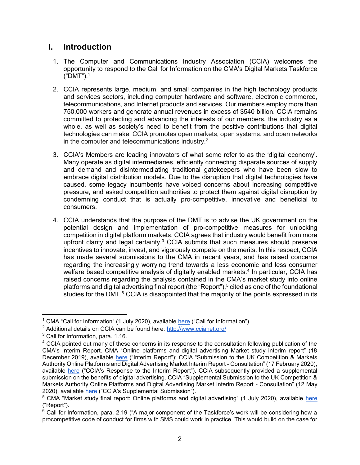### **I. Introduction**

- 1. The Computer and Communications Industry Association (CCIA) welcomes the opportunity to respond to the Call for Information on the CMA's Digital Markets Taskforce ("DMT").<sup>1</sup>
- 2. CCIA represents large, medium, and small companies in the high technology products and services sectors, including computer hardware and software, electronic commerce, telecommunications, and Internet products and services. Our members employ more than 750,000 workers and generate annual revenues in excess of \$540 billion. CCIA remains committed to protecting and advancing the interests of our members, the industry as a whole, as well as society's need to benefit from the positive contributions that digital technologies can make. CCIA promotes open markets, open systems, and open networks in the computer and telecommunications industry. $2$
- 3. CCIA's Members are leading innovators of what some refer to as the 'digital economy'. Many operate as digital intermediaries, efficiently connecting disparate sources of supply and demand and disintermediating traditional gatekeepers who have been slow to embrace digital distribution models. Due to the disruption that digital technologies have caused, some legacy incumbents have voiced concerns about increasing competitive pressure, and asked competition authorities to protect them against digital disruption by condemning conduct that is actually pro-competitive, innovative and beneficial to consumers.
- 4. CCIA understands that the purpose of the DMT is to advise the UK government on the potential design and implementation of pro-competitive measures for unlocking competition in digital platform markets. CCIA agrees that industry would benefit from more upfront clarity and legal certainty. $3$  CCIA submits that such measures should preserve incentives to innovate, invest, and vigorously compete on the merits. In this respect, CCIA has made several submissions to the CMA in recent years, and has raised concerns regarding the increasingly worrying trend towards a less economic and less consumer welfare based competitive analysis of digitally enabled markets.<sup>4</sup> In particular, CCIA has raised concerns regarding the analysis contained in the CMA's market study into online platforms and digital advertising final report (the "Report"),<sup>5</sup> cited as one of the foundational studies for the DMT. $^6$  CCIA is disappointed that the majority of the points expressed in its

<sup>&</sup>lt;sup>1</sup> CMA "Call for Information" (1 July 2020), available <u>here</u> ("Call for Information").

<sup>&</sup>lt;sup>2</sup> Additional details on CCIA can be found here: <u>http://www.ccianet.org</u>/

 $^3$  Call for Information, para. 1.16.

<sup>&</sup>lt;sup>4</sup> CCIA pointed out many of these concerns in its response to the consultation following publication of the CMA's Interim Report. CMA "Online platforms and digital advertising Market study interim report" (18 December 2019), available [here](https://assets.publishing.service.gov.uk/media/5ed0f75bd3bf7f4602e98330/Interim_report_---_web.pdf) ("Interim Report"); CCIA "Submission to the UK Competition & Markets Authority Online Platforms and Digital Advertising Market Interim Report - Consultation" (17 February 2020), available [here](https://assets.publishing.service.gov.uk/media/5e8c8067d3bf7f1fb6491b12/200214_CCIA_Response_to_Interim_Report.pdf) ("CCIA's Response to the Interim Report"). CCIA subsequently provided a supplemental submission on the benefits of digital advertising. CCIA "Supplemental Submission to the UK Competition & Markets Authority Online Platforms and Digital Advertising Market Interim Report - Consultation" (12 May 2020), available [here](https://www.ccianet.org/wp-content/uploads/2020/05/CCIA%E2%80%99s-Supplemental-Submission-to-the-UK-CMA-on-Digital-Advertising-12-May-2020.pdf) ("CCIA's Supplemental Submission").

<sup>&</sup>lt;sup>5</sup> CMA "Market study final report: Online platforms and digital advertising" (1 July 2020), available <u>here</u>

<sup>(&</sup>quot;Report").<br><sup>6</sup> Call for Information, para. 2.19 ("A major component of the Taskforce's work will be considering how a procompetitive code of conduct for firms with SMS could work in practice. This would build on the case for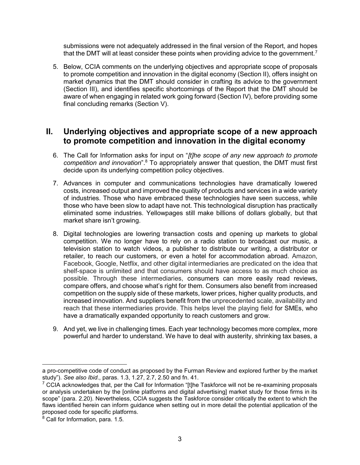submissions were not adequately addressed in the final version of the Report, and hopes that the DMT will at least consider these points when providing advice to the government.<sup>7</sup>

5. Below, CCIA comments on the underlying objectives and appropriate scope of proposals to promote competition and innovation in the digital economy (Section II), offers insight on market dynamics that the DMT should consider in crafting its advice to the government (Section III), and identifies specific shortcomings of the Report that the DMT should be aware of when engaging in related work going forward (Section IV), before providing some final concluding remarks (Section V).

### **II. Underlying objectives and appropriate scope of a new approach to promote competition and innovation in the digital economy**

- 6. The Call for Information asks for input on "*[t]he scope of any new approach to promote competition and innovation*".<sup>8</sup> To appropriately answer that question, the DMT must first decide upon its underlying competition policy objectives.
- 7. Advances in computer and communications technologies have dramatically lowered costs, increased output and improved the quality of products and services in a wide variety of industries. Those who have embraced these technologies have seen success, while those who have been slow to adapt have not. This technological disruption has practically eliminated some industries. Yellowpages still make billions of dollars globally, but that market share isn't growing.
- 8. Digital technologies are lowering transaction costs and opening up markets to global competition. We no longer have to rely on a radio station to broadcast our music, a television station to watch videos, a publisher to distribute our writing, a distributor or retailer, to reach our customers, or even a hotel for accommodation abroad. Amazon, Facebook, Google, Netflix, and other digital intermediaries are predicated on the idea that shelf-space is unlimited and that consumers should have access to as much choice as possible. Through these intermediaries, consumers can more easily read reviews, compare offers, and choose what's right for them. Consumers also benefit from increased competition on the supply side of these markets, lower prices, higher quality products, and increased innovation. And suppliers benefit from the unprecedented scale, availability and reach that these intermediaries provide. This helps level the playing field for SMEs, who have a dramatically expanded opportunity to reach customers and grow.
- 9. And yet, we live in challenging times. Each year technology becomes more complex, more powerful and harder to understand. We have to deal with austerity, shrinking tax bases, a

a pro-competitive code of conduct as proposed by the Furman Review and explored further by the market study"). *See also Ibid*., paras. 1.3, 1.27, 2.7, 2.50 and fn. 41.

 $^7$  CCIA acknowledges that, per the Call for Information "[t]he Taskforce will not be re-examining proposals or analysis undertaken by the [online platforms and digital advertising] market study for those firms in its scope" (para. 2.20). Nevertheless, CCIA suggests the Taskforce consider critically the extent to which the flaws identified herein can inform guidance when setting out in more detail the potential application of the proposed code for specific platforms.

 $^8$  Call for Information, para. 1.5.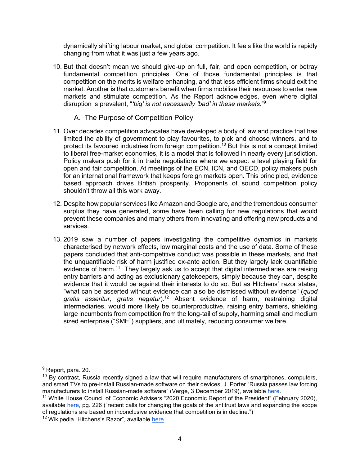dynamically shifting labour market, and global competition. It feels like the world is rapidly changing from what it was just a few years ago.

- 10. But that doesn't mean we should give-up on full, fair, and open competition, or betray fundamental competition principles. One of those fundamental principles is that competition on the merits is welfare enhancing, and that less efficient firms should exit the market. Another is that customers benefit when firms mobilise their resources to enter new markets and stimulate competition. As the Report acknowledges, even where digital disruption is prevalent, "*'big' is not necessarily 'bad' in these markets.*" 9
	- A. The Purpose of Competition Policy
- 11. Over decades competition advocates have developed a body of law and practice that has limited the ability of government to play favourites, to pick and choose winners, and to protect its favoured industries from foreign competition.<sup>10</sup> But this is not a concept limited to liberal free-market economies, it is a model that is followed in nearly every jurisdiction. Policy makers push for it in trade negotiations where we expect a level playing field for open and fair competition. At meetings of the ECN, ICN, and OECD, policy makers push for an international framework that keeps foreign markets open. This principled, evidence based approach drives British prosperity. Proponents of sound competition policy shouldn't throw all this work away.
- 12. Despite how popular services like Amazon and Google are, and the tremendous consumer surplus they have generated, some have been calling for new regulations that would prevent these companies and many others from innovating and offering new products and services.
- 13. 2019 saw a number of papers investigating the competitive dynamics in markets characterised by network effects, low marginal costs and the use of data. Some of these papers concluded that anti-competitive conduct was possible in these markets, and that the unquantifiable risk of harm justified ex-ante action. But they largely lack quantifiable evidence of harm.<sup>11</sup> They largely ask us to accept that digital intermediaries are raising entry barriers and acting as exclusionary gatekeepers, simply because they can, despite evidence that it would be against their interests to do so. But as Hitchens' razor states, "what can be asserted without evidence can also be dismissed without evidence" (*quod grātīs asseritur, grātīs negātur*).<sup>12</sup> Absent evidence of harm, restraining digital intermediaries, would more likely be counterproductive, raising entry barriers, shielding large incumbents from competition from the long-tail of supply, harming small and medium sized enterprise ("SME") suppliers, and ultimately, reducing consumer welfare.

<sup>&</sup>lt;sup>9</sup> Report, para. 20.

 $10$  By contrast, Russia recently signed a law that will require manufacturers of smartphones, computers, and smart TVs to pre-install Russian-made software on their devices. J. Porter "Russia passes law forcing manufacturers to install Russian-made software" (Verge, 3 December 2019), available [here.](https://www.theverge.com/2019/12/3/20977459/russian-law-pre-installed-domestic-software-tvs-smartphones-laptops)

<sup>&</sup>lt;sup>11</sup> White House Council of Economic Advisers "2020 Economic Report of the President" (February 2020), available [here,](https://www.whitehouse.gov/wp-content/uploads/2020/02/2020-Economic-Report-of-the-President-WHCEA.pdf) pg. 226 ("recent calls for changing the goals of the antitrust laws and expanding the scope of regulations are based on inconclusive evidence that competition is in decline.")

<sup>&</sup>lt;sup>12</sup> Wikipedia "Hitchens's Razor", available [here.](https://en.wikipedia.org/wiki/Hitchens%27s_razor)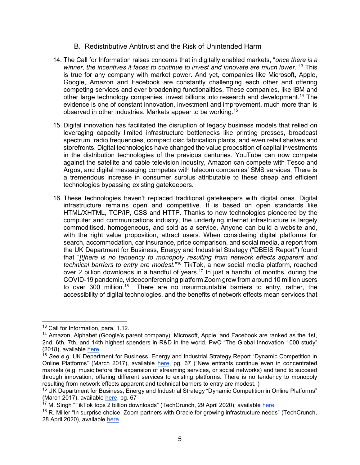- B. Redistributive Antitrust and the Risk of Unintended Harm
- 14. The Call for Information raises concerns that in digitally enabled markets, "*once there is a winner, the incentives it faces to continue to invest and innovate are much lower*."<sup>13</sup> This is true for any company with market power. And yet, companies like Microsoft, Apple, Google, Amazon and Facebook are constantly challenging each other and offering competing services and ever broadening functionalities. These companies, like IBM and other large technology companies, invest billions into research and development.<sup>14</sup> The evidence is one of constant innovation, investment and improvement, much more than is observed in other industries. Markets appear to be working.<sup>15</sup>
- 15. Digital innovation has facilitated the disruption of legacy business models that relied on leveraging capacity limited infrastructure bottlenecks like printing presses, broadcast spectrum, radio frequencies, compact disc fabrication plants, and even retail shelves and storefronts. Digital technologies have changed the value proposition of capital investments in the distribution technologies of the previous centuries. YouTube can now compete against the satellite and cable television industry, Amazon can compete with Tesco and Argos, and digital messaging competes with telecom companies' SMS services. There is a tremendous increase in consumer surplus attributable to these cheap and efficient technologies bypassing existing gatekeepers.
- 16. These technologies haven't replaced traditional gatekeepers with digital ones. Digital infrastructure remains open and competitive. It is based on open standards like HTML/XHTML, TCP/IP, CSS and HTTP. Thanks to new technologies pioneered by the computer and communications industry, the underlying internet infrastructure is largely commoditised, homogeneous, and sold as a service. Anyone can build a website and, with the right value proposition, attract users. When considering digital platforms for search, accommodation, car insurance, price comparison, and social media, a report from the UK Department for Business, Energy and Industrial Strategy ("DBEIS Report") found that "*[t]here is no tendency to monopoly resulting from network effects apparent and technical barriers to entry are modest.*" <sup>16</sup> TikTok, a new social media platform, reached over 2 billion downloads in a handful of years.<sup>17</sup> In just a handful of months, during the COVID-19 pandemic, videoconferencing platform Zoom grew from around 10 million users to over 300 million.<sup>18</sup> There are no insurmountable barriers to entry, rather, the accessibility of digital technologies, and the benefits of network effects mean services that

<sup>&</sup>lt;sup>13</sup> Call for Information, para. 1.12.

<sup>&</sup>lt;sup>14</sup> Amazon, Alphabet (Google's parent company), Microsoft, Apple, and Facebook are ranked as the 1st, 2nd, 6th, 7th, and 14th highest spenders in R&D in the world. PwC "The Global Innovation 1000 study" (2018), available [here.](https://www.strategyand.pwc.com/gx/en/insights/innovation1000.html)

<sup>&</sup>lt;sup>15</sup> See e.g. UK Department for Business, Energy and Industrial Strategy Report "Dynamic Competition in Online Platforms" (March 2017), available [here,](https://assets.publishing.service.gov.uk/government/uploads/system/uploads/attachment_data/file/602816/Digital_Platforms_report_new_BEIS.pdf) pg. 67 ("New entrants continue even in concentrated markets (e.g. music before the expansion of streaming services, or social networks) and tend to succeed through innovation, offering different services to existing platforms. There is no tendency to monopoly resulting from network effects apparent and technical barriers to entry are modest.")

<sup>&</sup>lt;sup>16</sup> UK Department for Business, Energy and Industrial Strategy "Dynamic Competition in Online Platforms" (March 2017), available [here,](https://assets.publishing.service.gov.uk/government/uploads/system/uploads/attachment_data/file/602816/Digital_Platforms_report_new_BEIS.pdf) pg. 67

<sup>&</sup>lt;sup>17</sup> M. Singh "TikTok tops 2 billion downloads" (TechCrunch, 29 April 2020), available [here.](https://techcrunch.com/2020/04/29/tiktok-tops-2-billion-downloads/)

<sup>&</sup>lt;sup>18</sup> R. Miller "In surprise choice, Zoom partners with Oracle for growing infrastructure needs" (TechCrunch, 28 April 2020), available [here.](https://techcrunch.com/2020/04/28/in-surprise-choice-zoom-hitches-wagon-to-oracle-for-growing-infrastructure-needs/)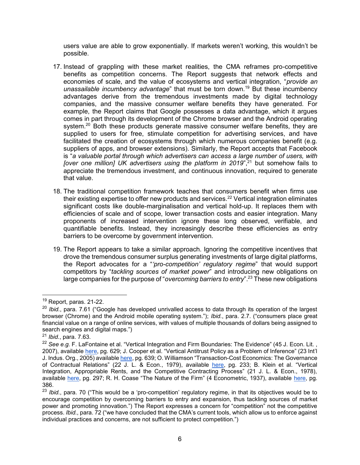users value are able to grow exponentially. If markets weren't working, this wouldn't be possible.

- 17. Instead of grappling with these market realities, the CMA reframes pro-competitive benefits as competition concerns. The Report suggests that network effects and economies of scale, and the value of ecosystems and vertical integration, "*provide an unassailable incumbency advantage*" that must be torn down.<sup>19</sup> But these incumbency advantages derive from the tremendous investments made by digital technology companies, and the massive consumer welfare benefits they have generated. For example, the Report claims that Google possesses a data advantage, which it argues comes in part through its development of the Chrome browser and the Android operating system.<sup>20</sup> Both these products generate massive consumer welfare benefits, they are supplied to users for free, stimulate competition for advertising services, and have facilitated the creation of ecosystems through which numerous companies benefit (e.g. suppliers of apps, and browser extensions). Similarly, the Report accepts that Facebook is "*a valuable portal through which advertisers can access a large number of users, with [over one million] UK advertisers using the platform in 2019*<sup>", 21</sup> but somehow fails to appreciate the tremendous investment, and continuous innovation, required to generate that value.
- 18. The traditional competition framework teaches that consumers benefit when firms use their existing expertise to offer new products and services.<sup>22</sup> Vertical integration eliminates significant costs like double-marginalisation and vertical hold-up. It replaces them with efficiencies of scale and of scope, lower transaction costs and easier integration. Many proponents of increased intervention ignore these long observed, verifiable, and quantifiable benefits. Instead, they increasingly describe these efficiencies as entry barriers to be overcome by government intervention.
- 19. The Report appears to take a similar approach. Ignoring the competitive incentives that drove the tremendous consumer surplus generating investments of large digital platforms, the Report advocates for a "*'pro-competition' regulatory regime*" that would support competitors by "*tackling sources of market power*" and introducing new obligations on large companies for the purpose of "*overcoming barriers to entry*".<sup>23</sup> These new obligations

 $19$  Report, paras. 21-22.

<sup>20</sup> *Ibid.*, para. 7.61 ("Google has developed unrivalled access to data through its operation of the largest browser (Chrome) and the Android mobile operating system."); *Ibid.*, para. 2.7. ("consumers place great financial value on a range of online services, with values of multiple thousands of dollars being assigned to search engines and digital maps.")

<sup>21</sup> *Ibid.*, para. 7.63.

<sup>&</sup>lt;sup>22</sup> See e.g. F. LaFontaine et al. "Vertical Integration and Firm Boundaries: The Evidence" (45 J. Econ. Lit., 2007), available [here,](https://www.researchgate.net/publication/4981492_Vertical_Integration_and_Firm_Boundaries_The_Evidence) pg. 629; J. Cooper et al. "Vertical Antitrust Policy as a Problem of Inference" (23 Int'l J. Indus. Org., 2005) available [here,](https://www.ftc.gov/public-statements/2005/02/vertical-antitrust-policy-problem-inference) pg. 639; O. Williamson "Transaction-Cost Economics: The Governance of Contractual Relations" (22 J. L. & Econ., 1979), available [here,](https://www.jstor.org/stable/725118?seq=1#metadata_info_tab_contents) pg. 233; B. Klein et al. "Vertical Integration, Appropriable Rents, and the Competitive Contracting Process" (21 J. L. & Econ., 1978), available [here,](https://www.researchgate.net/publication/24100505_Vertical_Integration_Appropriable_Rents_and_the_Competitive_Contracting_Process) pg. 297; R. H. Coase "The Nature of the Firm" (4 Econometric, 1937), available [here,](https://onlinelibrary.wiley.com/doi/full/10.1111/j.1468-0335.1937.tb00002.x) pg. 386.

<sup>&</sup>lt;sup>23</sup> *Ibid.*, para. 70 ("This would be a 'pro-competition' regulatory regime, in that its objectives would be to encourage competition by overcoming barriers to entry and expansion, thus tackling sources of market power and promoting innovation.") The Report expresses a concern for "competition" not the competitive process. *Ibid.*, para. 72 ("we have concluded that the CMA's current tools, which allow us to enforce against individual practices and concerns, are not sufficient to protect competition.")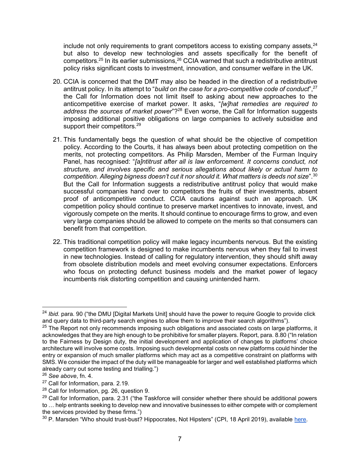include not only requirements to grant competitors access to existing company assets, $24$ but also to develop new technologies and assets specifically for the benefit of competitors.<sup>25</sup> In its earlier submissions, $26$  CCIA warned that such a redistributive antitrust policy risks significant costs to investment, innovation, and consumer welfare in the UK.

- 20. CCIA is concerned that the DMT may also be headed in the direction of a redistributive antitrust policy. In its attempt to "*build on the case for a pro-competitive code of conduct*",<sup>27</sup> the Call for Information does not limit itself to asking about new approaches to the anticompetitive exercise of market power. It asks, "*[w]hat remedies are required to address the sources of market power*"?<sup>28</sup> Even worse, the Call for Information suggests imposing additional positive obligations on large companies to actively subsidise and support their competitors.<sup>29</sup>
- 21. This fundamentally begs the question of what should be the objective of competition policy. According to the Courts, it has always been about protecting competition on the merits, not protecting competitors. As Philip Marsden, Member of the Furman Inquiry Panel, has recognised: "*[a]ntitrust after all is law enforcement. It concerns conduct, not structure, and involves specific and serious allegations about likely or actual harm to competition. Alleging bigness doesn't cut it nor should it. What matters is deeds not size*".<sup>30</sup> But the Call for Information suggests a redistributive antitrust policy that would make successful companies hand over to competitors the fruits of their investments, absent proof of anticompetitive conduct. CCIA cautions against such an approach. UK competition policy should continue to preserve market incentives to innovate, invest, and vigorously compete on the merits. It should continue to encourage firms to grow, and even very large companies should be allowed to compete on the merits so that consumers can benefit from that competition.
- 22. This traditional competition policy will make legacy incumbents nervous. But the existing competition framework is designed to make incumbents nervous when they fail to invest in new technologies. Instead of calling for regulatory intervention, they should shift away from obsolete distribution models and meet evolving consumer expectations. Enforcers who focus on protecting defunct business models and the market power of legacy incumbents risk distorting competition and causing unintended harm.

<sup>24</sup> *Ibid.* para. 90 ("the DMU [Digital Markets Unit] should have the power to require Google to provide click and query data to third-party search engines to allow them to improve their search algorithms").

<sup>&</sup>lt;sup>25</sup> The Report not only recommends imposing such obligations and associated costs on large platforms, it acknowledges that they are high enough to be prohibitive for smaller players. Report, para. 8.80 ("In relation to the Fairness by Design duty, the initial development and application of changes to platforms' choice architecture will involve some costs. Imposing such developmental costs on new platforms could hinder the entry or expansion of much smaller platforms which may act as a competitive constraint on platforms with SMS. We consider the impact of the duty will be manageable for larger and well established platforms which already carry out some testing and trialling.")

<sup>26</sup> *See above*, fn. 4.

<sup>27</sup> Call for Information, para. 2.19.

<sup>&</sup>lt;sup>28</sup> Call for Information, pg. 26, question 9.

 $^{29}$  Call for Information, para. 2.31 ("the Taskforce will consider whether there should be additional powers to … help entrants seeking to develop new and innovative businesses to either compete with or complement the services provided by these firms.")

<sup>&</sup>lt;sup>30</sup> P. Marsden "Who should trust-bust? Hippocrates, Not Hipsters" (CPI, 18 April 2019), available [here.](https://www.competitionpolicyinternational.com/who-should-trust-bust-hippocrates-not-hipsters/)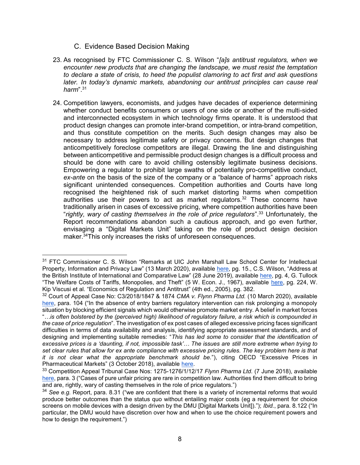#### C. Evidence Based Decision Making

- 23. As recognised by FTC Commissioner C. S. Wilson "*[a]s antitrust regulators, when we encounter new products that are changing the landscape, we must resist the temptation to declare a state of crisis, to heed the populist clamoring to act first and ask questions later. In today's dynamic markets, abandoning our antitrust principles can cause real harm*".<sup>31</sup>
- 24. Competition lawyers, economists, and judges have decades of experience determining whether conduct benefits consumers or users of one side or another of the multi-sided and interconnected ecosystem in which technology firms operate. It is understood that product design changes can promote inter-brand competition, or intra-brand competition, and thus constitute competition on the merits. Such design changes may also be necessary to address legitimate safety or privacy concerns. But design changes that anticompetitively foreclose competitors are illegal. Drawing the line and distinguishing between anticompetitive and permissible product design changes is a difficult process and should be done with care to avoid chilling ostensibly legitimate business decisions. Empowering a regulator to prohibit large swaths of potentially pro-competitive conduct, *ex-ante* on the basis of the size of the company or a "balance of harms" approach risks significant unintended consequences. Competition authorities and Courts have long recognised the heightened risk of such market distorting harms when competition authorities use their powers to act as market regulators.<sup>32</sup> These concerns have traditionally arisen in cases of excessive pricing, where competition authorities have been "*rightly, wary of casting themselves in the role of price regulators*".<sup>33</sup> Unfortunately, the Report recommendations abandon such a cautious approach, and go even further, envisaging a "Digital Markets Unit" taking on the role of product design decision maker.<sup>34</sup>This only increases the risks of unforeseen consequences.

<sup>&</sup>lt;sup>31</sup> FTC Commissioner C. S. Wilson "Remarks at UIC John Marshall Law School Center for Intellectual Property, Information and Privacy Law" (13 March 2020), available [here,](https://www.ftc.gov/public-statements/2020/03/global-innovation-local-regulation-navigating-competition-rules-digital) pg. 15., C.S. Wilson, "Address at the British Institute of International and Comparative Law" (28 June 2019), available [here,](https://www.ftc.gov/system/files/documents/public_statements/1531816/wilson_remarks_biicl_6-28-19.pdf) pg. 4, G. Tullock "The Welfare Costs of Tariffs, Monopolies, and Theft" (5 W. Econ. J., 1967), available [here,](https://onlinelibrary.wiley.com/doi/abs/10.1111/j.1465-7295.1967.tb01923.x) pg. 224, W. Kip Viscusi et al. "Economics of Regulation and Antitrust" (4th ed., 2005), pg. 382.

<sup>32</sup> Court of Appeal Case No: C3/2018/1847 & 1874 *CMA v. Flynn Pharma Ltd.* (10 March 2020), available [here,](https://www.monckton.com/wp-content/uploads/2020/03/MPB-JB-CMA-v-Flynn-Pharma-Ltd-and-Ors.pdf) para. 104 ("In the absence of entry barriers regulatory intervention can risk prolonging a monopoly situation by blocking efficient signals which would otherwise promote market entry. A belief in market forces "*…is often bolstered by the (perceived high) likelihood of regulatory failure, a risk which is compounded in the case of price regulation*". The investigation of ex post cases of alleged excessive pricing faces significant difficulties in terms of data availability and analysis, identifying appropriate assessment standards, and of designing and implementing suitable remedies: "*This has led some to consider that the identification of excessive prices is a 'daunting, if not, impossible task'… The issues are still more extreme when trying to set clear rules that allow for ex ante compliance with excessive pricing rules. The key problem here is that it is not clear what the appropriate benchmark should be.*"), citing OECD "Excessive Prices in Pharmaceutical Markets" (3 October 2018), available [here.](https://one.oecd.org/document/DAF/COMP(2018)12/en/pdf)

<sup>33</sup> Competition Appeal Tribunal Case Nos: 1275-1276/1/12/17 *Flynn Pharma Ltd.* (7 June 2018), available [here,](https://www.catribunal.org.uk/sites/default/files/2018-08/1275-1276_Flynn_Judgment_CAT_11_070618.pdf) para. 3 ("Cases of pure unfair pricing are rare in competition law. Authorities find them difficult to bring and are, rightly, wary of casting themselves in the role of price regulators.")

<sup>&</sup>lt;sup>34</sup> See e.a. Report, para. 8.31 ("we are confident that there is a variety of incremental reforms that would produce better outcomes than the status quo without entailing major costs (eg a requirement for choice screens on mobile devices with a design driven by the DMU [Digital Markets Unit])."); *Ibid.*, para. 8.122 ("In particular, the DMU would have discretion over how and when to use the choice requirement powers and how to design the requirement.")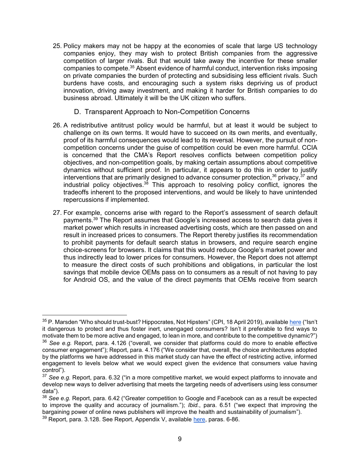- 25. Policy makers may not be happy at the economies of scale that large US technology companies enjoy, they may wish to protect British companies from the aggressive competition of larger rivals. But that would take away the incentive for these smaller companies to compete.<sup>35</sup> Absent evidence of harmful conduct, intervention risks imposing on private companies the burden of protecting and subsidising less efficient rivals. Such burdens have costs, and encouraging such a system risks depriving us of product innovation, driving away investment, and making it harder for British companies to do business abroad. Ultimately it will be the UK citizen who suffers.
	- D. Transparent Approach to Non-Competition Concerns
- 26. A redistributive antitrust policy would be harmful, but at least it would be subject to challenge on its own terms. It would have to succeed on its own merits, and eventually, proof of its harmful consequences would lead to its reversal. However, the pursuit of noncompetition concerns under the guise of competition could be even more harmful. CCIA is concerned that the CMA's Report resolves conflicts between competition policy objectives, and non-competition goals, by making certain assumptions about competitive dynamics without sufficient proof. In particular, it appears to do this in order to justify interventions that are primarily designed to advance consumer protection,  $36$  privacy,  $37$  and industrial policy objectives.<sup>38</sup> This approach to resolving policy conflict, ignores the tradeoffs inherent to the proposed interventions, and would be likely to have unintended repercussions if implemented.
- 27. For example, concerns arise with regard to the Report's assessment of search default payments.<sup>39</sup> The Report assumes that Google's increased access to search data gives it market power which results in increased advertising costs, which are then passed on and result in increased prices to consumers. The Report thereby justifies its recommendation to prohibit payments for default search status in browsers, and require search engine choice-screens for browsers. It claims that this would reduce Google's market power and thus indirectly lead to lower prices for consumers. However, the Report does not attempt to measure the direct costs of such prohibitions and obligations, in particular the lost savings that mobile device OEMs pass on to consumers as a result of not having to pay for Android OS, and the value of the direct payments that OEMs receive from search

<sup>35</sup> P. Marsden "Who should trust-bust? Hippocrates, Not Hipsters" (CPI, 18 April 2019), available [here](https://www.competitionpolicyinternational.com/who-should-trust-bust-hippocrates-not-hipsters/) ("Isn't it dangerous to protect and thus foster inert, unengaged consumers? Isn't it preferable to find ways to motivate them to be more active and engaged, to lean in more, and contribute to the competitive dynamic?") <sup>36</sup> *See e.g.* Report, para. 4.126 ("overall, we consider that platforms could do more to enable effective consumer engagement"); Report, para. 4.176 ("We consider that, overall, the choice architectures adopted

by the platforms we have addressed in this market study can have the effect of restricting active, informed engagement to levels below what we would expect given the evidence that consumers value having control").

<sup>37</sup> *See e.g.* Report, para. 6.32 ("in a more competitive market, we would expect platforms to innovate and develop new ways to deliver advertising that meets the targeting needs of advertisers using less consumer data").

<sup>38</sup> *See e.g.* Report, para. 6.42 ("Greater competition to Google and Facebook can as a result be expected to improve the quality and accuracy of journalism."); *Ibid.*, para. 6.51 ("we expect that improving the bargaining power of online news publishers will improve the health and sustainability of journalism").

 $39$  Report, para. 3.128. See Report, Appendix V, available [here,](https://assets.publishing.service.gov.uk/media/5efc410fd3bf7f76928785c8/Appendix_V_-_assessment_of_pro-competition_interventions_in_general_search.pdf) paras. 6-86.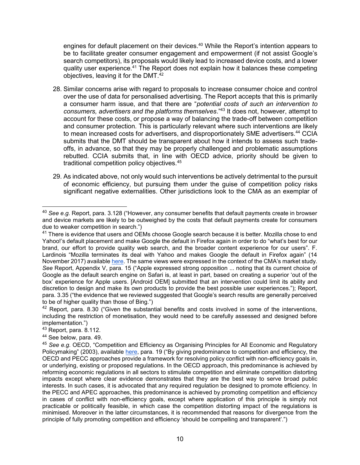engines for default placement on their devices.<sup>40</sup> While the Report's intention appears to be to facilitate greater consumer engagement and empowerment (if not assist Google's search competitors), its proposals would likely lead to increased device costs, and a lower quality user experience.<sup>41</sup> The Report does not explain how it balances these competing objectives, leaving it for the DMT.<sup>42</sup>

- 28. Similar concerns arise with regard to proposals to increase consumer choice and control over the use of data for personalised advertising. The Report accepts that this is primarily a consumer harm issue, and that there are "*potential costs of such an intervention to consumers, advertisers and the platforms themselves*."<sup>43</sup> It does not, however, attempt to account for these costs, or propose a way of balancing the trade-off between competition and consumer protection. This is particularly relevant where such interventions are likely to mean increased costs for advertisers, and disproportionately SME advertisers.<sup>44</sup> CCIA submits that the DMT should be transparent about how it intends to assess such tradeoffs, in advance, so that they may be properly challenged and problematic assumptions rebutted. CCIA submits that, in line with OECD advice, priority should be given to traditional competition policy objectives.<sup>45</sup>
- 29. As indicated above, not only would such interventions be actively detrimental to the pursuit of economic efficiency, but pursuing them under the guise of competition policy risks significant negative externalities. Other jurisdictions look to the CMA as an exemplar of

<sup>40</sup> *See e.g.* Report, para. 3.128 ("However, any consumer benefits that default payments create in browser and device markets are likely to be outweighed by the costs that default payments create for consumers due to weaker competition in search.")

<sup>&</sup>lt;sup>41</sup> There is evidence that users and OEMs choose Google search because it is better. Mozilla chose to end Yahoo!'s default placement and make Google the default in Firefox again in order to do "what's best for our brand, our effort to provide quality web search, and the broader content experience for our users". F. Lardinois "Mozilla terminates its deal with Yahoo and makes Google the default in Firefox again" (14 November 2017) available [here.](https://techcrunch.com/2017/11/14/mozilla-terminates-its-deal-with-yahoo-and-makes-google-the-default-in-firefox-again/) The same views were expressed in the context of the CMA's market study. *See* Report, Appendix V, para. 15 ("Apple expressed strong opposition ... noting that its current choice of Google as the default search engine on Safari is, at least in part, based on creating a superior 'out of the box' experience for Apple users. [Android OEM] submitted that an intervention could limit its ability and discretion to design and make its own products to provide the best possible user experiences."); Report, para. 3.35 ("the evidence that we reviewed suggested that Google's search results are generally perceived to be of higher quality than those of Bing.")

 $42$  Report, para. 8.30 ("Given the substantial benefits and costs involved in some of the interventions, including the restriction of monetisation, they would need to be carefully assessed and designed before implementation.")

<sup>43</sup> Report, para. 8.112.

<sup>44</sup> See below, para. 49.

<sup>45</sup> *See e.g.* OECD, "Competition and Efficiency as Organising Principles for All Economic and Regulatory Policymaking" (2003), available [here,](https://www.oecd.org/daf/competition/prosecutionandlawenforcement/2490195.pdf) para. 19 ("By giving predominance to competition and efficiency, the OECD and PECC approaches provide a framework for resolving policy conflict with non-efficiency goals in, or underlying, existing or proposed regulations. In the OECD approach, this predominance is achieved by reforming economic regulations in all sectors to stimulate competition and eliminate competition distorting impacts except where clear evidence demonstrates that they are the best way to serve broad public interests. In such cases, it is advocated that any required regulation be designed to promote efficiency. In the PECC and APEC approaches, this predominance is achieved by promoting competition and efficiency in cases of conflict with non-efficiency goals, except where application of this principle is simply not practicable or politically feasible, in which case the competition distorting impact of the regulations is minimised. Moreover in the latter circumstances, it is recommended that reasons for divergence from the principle of fully promoting competition and efficiency 'should be compelling and transparent'.")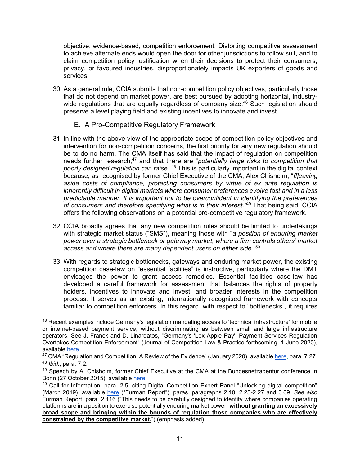objective, evidence-based, competition enforcement. Distorting competitive assessment to achieve alternate ends would open the door for other jurisdictions to follow suit, and to claim competition policy justification when their decisions to protect their consumers, privacy, or favoured industries, disproportionately impacts UK exporters of goods and services.

30. As a general rule, CCIA submits that non-competition policy objectives, particularly those that do not depend on market power, are best pursued by adopting horizontal, industrywide regulations that are equally regardless of company size.<sup>46</sup> Such legislation should preserve a level playing field and existing incentives to innovate and invest.

#### E. A Pro-Competitive Regulatory Framework

- 31. In line with the above view of the appropriate scope of competition policy objectives and intervention for non-competition concerns, the first priority for any new regulation should be to do no harm. The CMA itself has said that the impact of regulation on competition needs further research,<sup>47</sup> and that there are "*potentially large risks to competition that poorly designed regulation can raise*."<sup>48</sup> This is particularly important in the digital context because, as recognised by former Chief Executive of the CMA, Alex Chisholm, "*[l]eaving aside costs of compliance, protecting consumers by virtue of ex ante regulation is inherently difficult in digital markets where consumer preferences evolve fast and in a less predictable manner. It is important not to be overconfident in identifying the preferences of consumers and therefore specifying what is in their interest."*<sup>49</sup> That being said, CCIA offers the following observations on a potential pro-competitive regulatory framework.
- 32. CCIA broadly agrees that any new competition rules should be limited to undertakings with strategic market status ("SMS"), meaning those with "*a position of enduring market power over a strategic bottleneck or gateway market, where a firm controls others' market access and where there are many dependent users on either side.*" 50
- 33. With regards to strategic bottlenecks, gateways and enduring market power, the existing competition case-law on "essential facilities" is instructive, particularly where the DMT envisages the power to grant access remedies. Essential facilities case-law has developed a careful framework for assessment that balances the rights of property holders, incentives to innovate and invest, and broader interests in the competition process. It serves as an existing, internationally recognised framework with concepts familiar to competition enforcers. In this regard, with respect to "bottlenecks", it requires

<sup>46</sup> Recent examples include Germany's legislation mandating access to 'technical infrastructure' for mobile or internet-based payment service, without discriminating as between small and large infrastructure operators. See J. Franck and D. Linardatos, "Germany's 'Lex Apple Pay': Payment Services Regulation Overtakes Competition Enforcement" (Journal of Competition Law & Practice forthcoming, 1 June 2020), available [here.](https://ssrn.com/abstract=3634484)

<sup>&</sup>lt;sup>47</sup> CMA "Regulation and Competition. A Review of the Evidence" (January 2020), available [here,](https://assets.publishing.service.gov.uk/government/uploads/system/uploads/attachment_data/file/857024/Regulation_and_Competition_report_-_web_version.pdf) para. 7.27. <sup>48</sup> *Ibid.*, para. 7.2.

<sup>49</sup> Speech by A. Chisholm, former Chief Executive at the CMA at the Bundesnetzagentur conference in Bonn (27 October 2015), available [here.](https://www.gov.uk/government/speeches/alex-chisholm-speaks-about-online-platform-regulation)

<sup>&</sup>lt;sup>50</sup> Call for Information, para. 2.5, citing Digital Competition Expert Panel "Unlocking digital competition" (March 2019), available [here](https://assets.publishing.service.gov.uk/government/uploads/system/uploads/attachment_data/file/785547/unlocking_digital_competition_furman_review_web.pdf) ("Furman Report"), paras. paragraphs 2.10, 2.25-2.27 and 3.69. *See also* Furman Report, para. 2.116 ("This needs to be carefully designed to identify where companies operating platforms are in a position to exercise potentially enduring market power, **without granting an excessively broad scope and bringing within the bounds of regulation those companies who are effectively constrained by the competitive market.**") (emphasis added).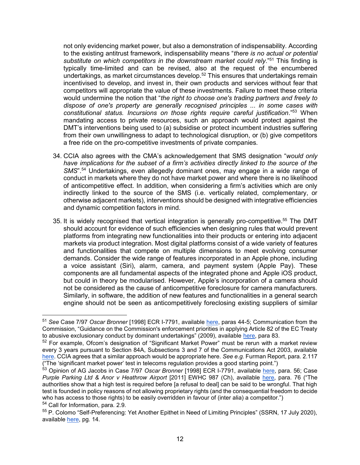not only evidencing market power, but also a demonstration of indispensability. According to the existing antitrust framework, indispensability means "*there is no actual or potential substitute on which competitors in the downstream market could rely*."<sup>51</sup> This finding is typically time-limited and can be revised, also at the request of the encumbered undertakings, as market circumstances develop.<sup>52</sup> This ensures that undertakings remain incentivised to develop, and invest in, their own products and services without fear that competitors will appropriate the value of these investments. Failure to meet these criteria would undermine the notion that "*the right to choose one's trading partners and freely to dispose of one's property are generally recognised principles ... in some cases with constitutional status. Incursions on those rights require careful justification*."<sup>53</sup> When mandating access to private resources, such an approach would protect against the DMT's interventions being used to (a) subsidise or protect incumbent industries suffering from their own unwillingness to adapt to technological disruption, or (b) give competitors a free ride on the pro-competitive investments of private companies.

- 34. CCIA also agrees with the CMA's acknowledgement that SMS designation "*would only*  have implications for the subset of a firm's activities directly linked to the source of the *SMS*".<sup>54</sup> Undertakings, even allegedly dominant ones, may engage in a wide range of conduct in markets where they do not have market power and where there is no likelihood of anticompetitive effect. In addition, when considering a firm's activities which are only indirectly linked to the source of the SMS (i.e. vertically related, complementary, or otherwise adjacent markets), interventions should be designed with integrative efficiencies and dynamic competition factors in mind.
- 35. It is widely recognised that vertical integration is generally pro-competitive.<sup>55</sup> The DMT should account for evidence of such efficiencies when designing rules that would prevent platforms from integrating new functionalities into their products or entering into adjacent markets via product integration. Most digital platforms consist of a wide variety of features and functionalities that compete on multiple dimensions to meet evolving consumer demands. Consider the wide range of features incorporated in an Apple phone, including a voice assistant (Siri), alarm, camera, and payment system (Apple Pay). These components are all fundamental aspects of the integrated phone and Apple iOS product, but could in theory be modularised. However, Apple's incorporation of a camera should not be considered as the cause of anticompetitive foreclosure for camera manufacturers. Similarly, in software, the addition of new features and functionalities in a general search engine should not be seen as anticompetitively foreclosing existing suppliers of similar

<sup>51</sup> *See* Case 7/97 *Oscar Bronner* [1998] ECR I-7791, available [here,](https://eur-lex.europa.eu/legal-content/EN/TXT/?uri=CELEX%3A61997CJ0007) paras 44-5; Communication from the Commission, "Guidance on the Commission's enforcement priorities in applying Article 82 of the EC Treaty to abusive exclusionary conduct by dominant undertakings" (2009), available [here,](https://eur-lex.europa.eu/legal-content/EN/TXT/PDF/?uri=CELEX:52009XC0224(01)&from=EN) para 83.

<sup>52</sup> For example, Ofcom's designation of "Significant Market Power" must be rerun with a market review every 3 years pursuant to Section 84A, Subsections 3 and 7 of the Communications Act 2003, available [here.](https://www.legislation.gov.uk/ukpga/2003/21/section/84A) CCIA agrees that a similar approach would be appropriate here. *See e.g.* Furman Report, para. 2.117 ("The 'significant market power' test in telecoms regulation provides a good starting point.")

<sup>&</sup>lt;sup>53</sup> Opinion of AG Jacobs in Case 7/97 *Oscar Bronner* [1998] ECR I-7791, available <u>here</u>, para. 56; Case *Purple Parking Ltd & Anor v Heathrow Airport* [2011] EWHC 987 (Ch), available [here,](https://www.casemine.com/judgement/uk/5a8ff7e160d03e7f57eb29a6) para. 76 ("The authorities show that a high test is required before [a refusal to deal] can be said to be wrongful. That high test is founded in policy reasons of not allowing proprietary rights (and the consequential freedom to decide who has access to those rights) to be easily overridden in favour of (inter alia) a competitor.") <sup>54</sup> Call for Information, para. 2.9.

<sup>55</sup> P. Colomo "Self-Preferencing: Yet Another Epithet in Need of Limiting Principles" (SSRN, 17 July 2020), available [here,](https://poseidon01.ssrn.com/delivery.php?ID=562116100073092027031095093078113005017000001037065088099114082029029000099103082023000001018010122038004025072106095025013011111020068012086000098115117004107093003020022042066070003079064110030074065018102113026115079123107117095119080072127066009072&EXT=pdf) pg. 14.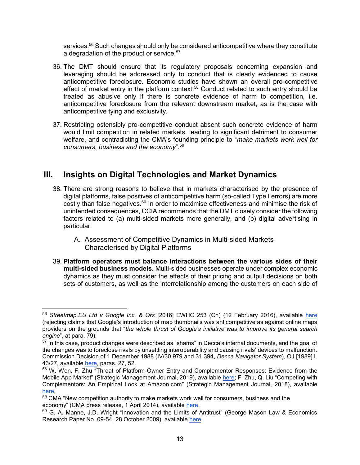services.<sup>56</sup> Such changes should only be considered anticompetitive where they constitute a degradation of the product or service. $57$ 

- 36. The DMT should ensure that its regulatory proposals concerning expansion and leveraging should be addressed only to conduct that is clearly evidenced to cause anticompetitive foreclosure. Economic studies have shown an overall pro-competitive effect of market entry in the platform context.<sup>58</sup> Conduct related to such entry should be treated as abusive only if there is concrete evidence of harm to competition, i.e. anticompetitive foreclosure from the relevant downstream market, as is the case with anticompetitive tying and exclusivity.
- 37. Restricting ostensibly pro-competitive conduct absent such concrete evidence of harm would limit competition in related markets, leading to significant detriment to consumer welfare, and contradicting the CMA's founding principle to "*make markets work well for consumers, business and the economy*".<sup>59</sup>

# **III. Insights on Digital Technologies and Market Dynamics**

- 38. There are strong reasons to believe that in markets characterised by the presence of digital platforms, false positives of anticompetitive harm (so-called Type I errors) are more costly than false negatives.<sup>60</sup> In order to maximise effectiveness and minimise the risk of unintended consequences, CCIA recommends that the DMT closely consider the following factors related to (a) multi-sided markets more generally, and (b) digital advertising in particular.
	- A. Assessment of Competitive Dynamics in Multi-sided Markets Characterised by Digital Platforms
- 39. **Platform operators must balance interactions between the various sides of their multi-sided business models.** Multi-sided businesses operate under complex economic dynamics as they must consider the effects of their pricing and output decisions on both sets of customers, as well as the interrelationship among the customers on each side of

<sup>56</sup> *Streetmap.EU Ltd v Google Inc. & Ors* [2016] EWHC 253 (Ch) (12 February 2016), available [here](http://www.bailii.org/ew/cases/EWHC/Ch/2016/253.html) (rejecting claims that Google's introduction of map thumbnails was anticompetitive as against online maps providers on the grounds that "*the whole thrust of Google's initiative was to improve its general search engine*", at para. 79).

<sup>&</sup>lt;sup>57</sup> In this case, product changes were described as "shams" in Decca's internal documents, and the goal of the changes was to foreclose rivals by unsettling interoperability and causing rivals' devices to malfunction. Commission Decision of 1 December 1988 (IV/30.979 and 31.394, *Decca Navigator System*), OJ [1989] L 43/27, available [here,](https://eur-lex.europa.eu/legal-content/EN/TXT/?uri=CELEX%3A31989D0113) paras. 27, 52.

<sup>58</sup> W. Wen, F. Zhu "Threat of Platform-Owner Entry and Complementor Responses: Evidence from the Mobile App Market" (Strategic Management Journal, 2019), available [here;](http://fengzhu.info/entry_threat.pdf) F. Zhu, Q. Liu "Competing with Complementors: An Empirical Look at Amazon.com" (Strategic Management Journal, 2018), available [here.](https://www.hbs.edu/faculty/Pages/item.aspx?num=54598)

<sup>&</sup>lt;sup>59</sup> CMA "New competition authority to make markets work well for consumers, business and the economy" (CMA press release, 1 April 2014), available [here.](https://www.gov.uk/government/news/new-competition-authority-to-make-markets-work-well-for-consumers-business-and-the-economy)

<sup>&</sup>lt;sup>60</sup> G. A. Manne, J.D. Wright "Innovation and the Limits of Antitrust" (George Mason Law & Economics Research Paper No. 09-54, 28 October 2009), available [here.](https://papers.ssrn.com/sol3/papers.cfm?abstract_id=1490849)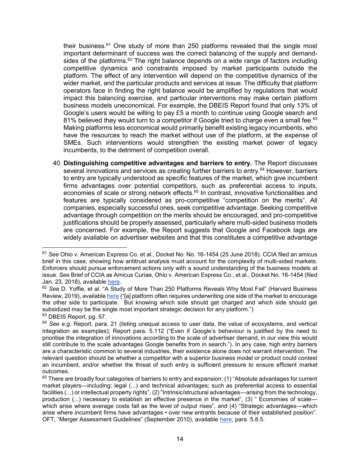their business.<sup>61</sup> One study of more than 250 platforms revealed that the single most important determinant of success was the correct balancing of the supply and demandsides of the platforms.<sup>62</sup> The right balance depends on a wide range of factors including competitive dynamics and constraints imposed by market participants outside the platform. The effect of any intervention will depend on the competitive dynamics of the wider market, and the particular products and services at issue. The difficulty that platform operators face in finding the right balance would be amplified by regulations that would impact this balancing exercise, and particular interventions may make certain platform business models uneconomical. For example, the DBEIS Report found that only 13% of Google's users would be willing to pay £5 a month to continue using Google search and 81% believed they would turn to a competitor if Google tried to charge even a small fee. $63$ Making platforms less economical would primarily benefit existing legacy incumbents, who have the resources to reach the market without use of the platform, at the expense of SMEs. Such interventions would strengthen the existing market power of legacy incumbents, to the detriment of competition overall.

40. **Distinguishing competitive advantages and barriers to entry.** The Report discusses several innovations and services as creating further barriers to entry.<sup>64</sup> However, barriers to entry are typically understood as specific features of the market, which give incumbent firms advantages over potential competitors, such as preferential access to inputs, economies of scale or strong network effects.<sup>65</sup> In contrast, innovative functionalities and features are typically considered as pro-competitive "competition on the merits". All companies, especially successful ones, seek competitive advantage. Seeking competitive advantage through competition on the merits should be encouraged, and pro-competitive justifications should be properly assessed, particularly where multi-sided business models are concerned. For example, the Report suggests that Google and Facebook tags are widely available on advertiser websites and that this constitutes a competitive advantage

<sup>63</sup> DBEIS Report, pg. 57.

<sup>61</sup> *See* Ohio v. American Express Co. et al., Docket No. No. 16-1454 (25 June 2018). CCIA filed an amicus brief in this case, showing how antitrust analysis must account for the complexity of multi-sided markets. Enforcers should pursue enforcement actions only with a sound understanding of the business models at issue. *See* Brief of CCIA as Amicus Curiae, Ohio v. American Express Co., et al., Docket No. 16-1454 (filed Jan. 23, 2018), available [here.](https://www.ccianet.org/wp-content/uploads/2018/01/16-1454-Ohio-v-AmEx.pdf)

<sup>62</sup> *See* D. Yoffie, et al. "A Study of More Than 250 Platforms Reveals Why Most Fail" (Harvard Business Review, 2019), available [here \(](https://hbr.org/2019/05/a-study-of-more-than-250-platforms-reveals-why-most-fail)"[a] platform often requires underwriting one side of the market to encourage the other side to participate. But knowing which side should get charged and which side should get subsidized may be the single most important strategic decision for any platform.")

<sup>64</sup> *See e.g.* Report, para. 21 (listing unequal access to user data, the value of ecosystems, and vertical integration as examples); Report para. 5.112 ("Even if Google's behaviour is justified by the need to prioritise the integration of innovations according to the scale of advertiser demand, in our view this would still contribute to the scale advantages Google benefits from in search."). In any case, high entry barriers are a characteristic common to several industries, their existence alone does not warrant intervention. The relevant question should be whether a competitor with a superior business model or product could contest an incumbent, and/or whether the threat of such entry is sufficient pressure to ensure efficient market outcomes.

 $65$  There are broadly four categories of barriers to entry and expansion: (1) "Absolute advantages for current market players—including: legal (...) and technical advantages; such as preferential access to essential facilities (...) or intellectual property rights", (2) "Intrinsic/structural advantages—arising from the technology, production (...) necessary to establish an effective presence in the market", (3) " Economies of scale which arise where average costs fall as the level of output rises", and (4) "Strategic advantages—which arise where incumbent firms have advantages • over new entrants because of their established position". OFT, "Merger Assessment Guidelines" (September 2010), available [here,](https://assets.publishing.service.gov.uk/government/uploads/system/uploads/attachment_data/file/284449/OFT1254.pdf) para. 5.8.5.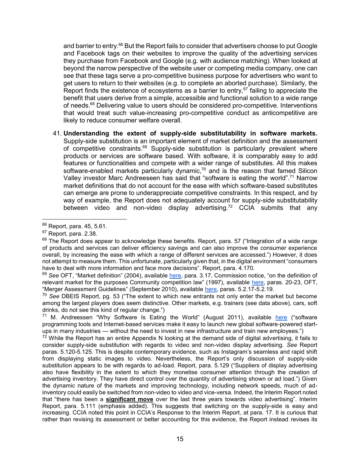and barrier to entry.<sup>66</sup> But the Report fails to consider that advertisers choose to put Google and Facebook tags on their websites to improve the quality of the advertising services they purchase from Facebook and Google (e.g. with audience matching). When looked at beyond the narrow perspective of the website user or competing media company, one can see that these tags serve a pro-competitive business purpose for advertisers who want to get users to return to their websites (e.g. to complete an aborted purchase). Similarly, the Report finds the existence of ecosystems as a barrier to entry,<sup>67</sup> failing to appreciate the benefit that users derive from a simple, accessible and functional solution to a wide range of needs.<sup>68</sup> Delivering value to users should be considered pro-competitive. Interventions that would treat such value-increasing pro-competitive conduct as anticompetitive are likely to reduce consumer welfare overall.

41. **Understanding the extent of supply-side substitutability in software markets.**  Supply-side substitution is an important element of market definition and the assessment of competitive constraints.<sup>69</sup> Supply-side substitution is particularly prevalent where products or services are software based. With software, it is comparably easy to add features or functionalities and compete with a wider range of substitutes. All this makes software-enabled markets particularly dynamic, $70$  and is the reason that famed Silicon Valley investor Marc Andreeseen has said that "software is eating the world".<sup>71</sup> Narrow market definitions that do not account for the ease with which software-based substitutes can emerge are prone to underappreciate competitive constraints. In this respect, and by way of example, the Report does not adequately account for supply-side substitutability between video and non-video display advertising.<sup>72</sup> CCIA submits that any

 $\overline{a}$ 

<sup>70</sup> *See* DBEIS Report, pg. 53 ("The extent to which new entrants not only enter the market but become among the largest players does seem distinctive. Other markets, e.g. trainers (see data above), cars, soft drinks, do not see this kind of regular change.")

 $71$  M. Andreessen "Why Software Is Eating the World" (August 2011), available [here](https://a16z.com/2011/08/20/why-software-is-eating-the-world/) ("software programming tools and Internet-based services make it easy to launch new global software-powered startups in many industries — without the need to invest in new infrastructure and train new employees.")

 $72$  While the Report has an entire Appendix N looking at the demand side of digital advertising, it fails to consider supply-side substitution with regards to video and non-video display advertising. *See* Report paras. 5.120-5.125. This is despite contemporary evidence, such as Instagram's seamless and rapid shift from displaying static images to video. Nevertheless, the Report's only discussion of supply-side substitution appears to be with regards to ad-load. Report, para. 5.129 ("Suppliers of display advertising also have flexibility in the extent to which they monetise consumer attention through the creation of advertising inventory. They have direct control over the quantity of advertising shown or ad load.") Given the dynamic nature of the markets and improving technology, including network speeds, much of adinventory could easily be switched from non-video to video and vice-versa. Indeed, the Interim Report noted that "there has been a **significant move** over the last three years towards video advertising". Interim Report, para. 5.111 (emphasis added). This suggests that switching on the supply-side is easy and increasing. CCIA noted this point in CCIA's Response to the Interim Repor[t, at para.](https://assets.publishing.service.gov.uk/media/5e8c8067d3bf7f1fb6491b12/200214_CCIA_Response_to_Interim_Report.pdf) 17. It is curious that rather than revising its assessment or better accounting for this evidence, the Report instead revises its

<sup>66</sup> Report, para. 45, 5.61.

<sup>67</sup> Report, para. 2.38.

 $68$  The Report does appear to acknowledge these benefits. Report, para. 57 ("Integration of a wide range of products and services can deliver efficiency savings and can also improve the consumer experience overall, by increasing the ease with which a range of different services are accessed.") However, it does not attempt to measure them. This unfortunate, particularly given that, in the digital environment "consumers have to deal with more information and face more decisions". Report, para. 4.170.

<sup>69</sup> *See* OFT, "Market definition" (2004), available [here,](https://assets.publishing.service.gov.uk/government/uploads/system/uploads/attachment_data/file/284423/oft403.pdf) para. 3.17, Commission notice, "on the definition of relevant market for the purposes Community competition law" (1997), available [here,](https://eur-lex.europa.eu/legal-content/EN/TXT/PDF/?uri=CELEX:31997Y1209(01)&from=EN) paras. 20-23, OFT, "Merger Assessment Guidelines" (September 2010), available [here,](https://assets.publishing.service.gov.uk/government/uploads/system/uploads/attachment_data/file/284449/OFT1254.pdf) paras. 5.2.17-5.2.19.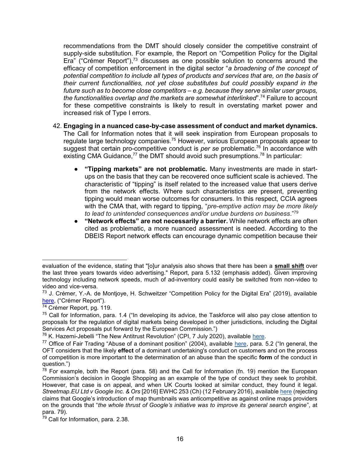recommendations from the DMT should closely consider the competitive constraint of supply-side substitution. For example, the Report on "Competition Policy for the Digital Era" ("Crémer Report"),<sup>73</sup> discusses as one possible solution to concerns around the efficacy of competition enforcement in the digital sector "*a broadening of the concept of potential competition to include all types of products and services that are, on the basis of their current functionalities, not yet close substitutes but could possibly expand in the future such as to become close competitors – e.g. because they serve similar user groups, the functionalities overlap and the markets are somewhat interlinked*".<sup>74</sup> Failure to account for these competitive constraints is likely to result in overstating market power and increased risk of Type I errors.

- 42. **Engaging in a nuanced case-by-case assessment of conduct and market dynamics.**  The Call for Information notes that it will seek inspiration from European proposals to regulate large technology companies.<sup>75</sup> However, various European proposals appear to suggest that certain pro-competitive conduct is *per se* problematic.<sup>76</sup> In accordance with existing CMA Guidance,<sup>77</sup> the DMT should avoid such presumptions.<sup>78</sup> In particular:
	- **"Tipping markets" are not problematic.** Many investments are made in startups on the basis that they can be recovered once sufficient scale is achieved. The characteristic of "tipping" is itself related to the increased value that users derive from the network effects. Where such characteristics are present, preventing tipping would mean worse outcomes for consumers. In this respect, CCIA agrees with the CMA that, with regard to tipping, "*pre-emptive action may be more likely to lead to unintended consequences and/or undue burdens on business*."<sup>79</sup>
	- **"Network effects" are not necessarily a barrier.** While network effects are often cited as problematic, a more nuanced assessment is needed. According to the DBEIS Report network effects can encourage dynamic competition because their

 $\overline{a}$ evaluation of the evidence, stating that "[o]ur analysis also shows that there has been a **small shift** over the last three years towards video advertising." Report, para 5.132 (emphasis added). Given improving technology including network speeds, much of ad-inventory could easily be switched from non-video to video and vice-versa.

<sup>&</sup>lt;sup>73</sup> J. Crémer, Y.-A. de Montjoye, H. Schweitzer "Competition Policy for the Digital Era" (2019), available <u>here</u>, ("Crémer Report").

<sup>&</sup>lt;sup>74</sup> Crémer Report, pg. 119.

<sup>&</sup>lt;sup>75</sup> Call for Information, para. 1.4 ("In developing its advice, the Taskforce will also pay close attention to proposals for the regulation of digital markets being developed in other jurisdictions, including the Digital Services Act proposals put forward by the European Commission.")

<sup>&</sup>lt;sup>76</sup> K. Hazemi-Jebelli "The New Antitrust Revolution" (CPI, 7 July 2020), available [here.](https://www.competitionpolicyinternational.com/the-new-antitrust-revolution/)

<sup>&</sup>lt;sup>77</sup> Office of Fair Trading "Abuse of a dominant position" (2004), available [here,](https://assets.publishing.service.gov.uk/government/uploads/system/uploads/attachment_data/file/284422/oft402.pdf) para. 5.2 ("In general, the OFT considers that the likely **effect** of a dominant undertaking's conduct on customers and on the process of competition is more important to the determination of an abuse than the specific **form** of the conduct in question.")

 $78$  For example, both the Report (para. 58) and the Call for Information (fn. 19) mention the European Commission's decision in Google Shopping as an example of the type of conduct they seek to prohibit. However, that case is on appeal, and when UK Courts looked at similar conduct, they found it legal. *Streetmap.EU Ltd v Google Inc. & Ors* [2016] EWHC 253 (Ch) (12 February 2016), availabl[e here](http://www.bailii.org/ew/cases/EWHC/Ch/2016/253.html) (rejecting claims that Google's introduction of map thumbnails was anticompetitive as against online maps providers on the grounds that "*the whole thrust of Google's initiative was to improve its general search engine*", at para. 79).

<sup>&</sup>lt;sup>79</sup> Call for Information, para. 2.38.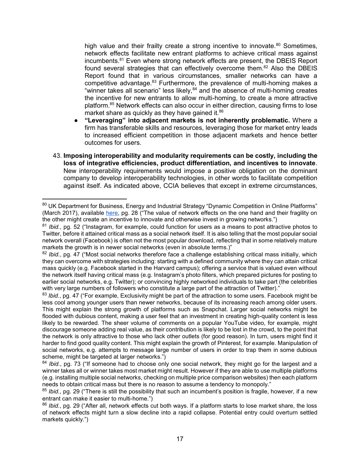high value and their frailty create a strong incentive to innovate.<sup>80</sup> Sometimes, network effects facilitate new entrant platforms to achieve critical mass against incumbents.<sup>81</sup> Even where strong network effects are present, the DBEIS Report found several strategies that can effectively overcome them.<sup>82</sup> Also the DBEIS Report found that in various circumstances, smaller networks can have a competitive advantage.<sup>83</sup> Furthermore, the prevalence of multi-homing makes a "winner takes all scenario" less likely, $^{84}$  and the absence of multi-homing creates the incentive for new entrants to allow multi-homing, to create a more attractive platform.<sup>85</sup> Network effects can also occur in either direction, causing firms to lose market share as quickly as they have gained it. $86$ 

- **"Leveraging" into adjacent markets is not inherently problematic.** Where a firm has transferable skills and resources, leveraging those for market entry leads to increased efficient competition in those adjacent markets and hence better outcomes for users.
- 43. **Imposing interoperability and modularity requirements can be costly, including the loss of integrative efficiencies, product differentiation, and incentives to innovate**. New interoperability requirements would impose a positive obligation on the dominant company to develop interoperability technologies, in other words to facilitate competition against itself. As indicated above, CCIA believes that except in extreme circumstances,

 $\overline{a}$ 80 UK Department for Business, Energy and Industrial Strategy "Dynamic Competition in Online Platforms" (March 2017), available [here,](https://assets.publishing.service.gov.uk/government/uploads/system/uploads/attachment_data/file/602816/Digital_Platforms_report_new_BEIS.pdf) pg. 28 ("The value of network effects on the one hand and their fragility on the other might create an incentive to innovate and otherwise invest in growing networks.")

<sup>81</sup> *Ibid.*, pg. 52 ("Instagram, for example, could function for users as a means to post attractive photos to Twitter, before it attained critical mass as a social network itself. It is also telling that the most popular social network overall (Facebook) is often not the most popular download, reflecting that in some relatively mature markets the growth is in newer social networks (even in absolute terms.)"

<sup>&</sup>lt;sup>82</sup> *Ibid.*, pg. 47 ("Most social networks therefore face a challenge establishing critical mass initially, which they can overcome with strategies including: starting with a defined community where they can attain critical mass quickly (e.g. Facebook started in the Harvard campus); offering a service that is valued even without the network itself having critical mass (e.g. Instagram's photo filters, which prepared pictures for posting to earlier social networks, e.g. Twitter); or convincing highly networked individuals to take part (the celebrities with very large numbers of followers who constitute a large part of the attraction of Twitter)."

<sup>&</sup>lt;sup>83</sup> *Ibid.*, pg. 47 ("For example, Exclusivity might be part of the attraction to some users. Facebook might be less cool among younger users than newer networks, because of its increasing reach among older users. This might explain the strong growth of platforms such as Snapchat. Larger social networks might be flooded with dubious content, making a user feel that an investment in creating high-quality content is less likely to be rewarded. The sheer volume of comments on a popular YouTube video, for example, might discourage someone adding real value, as their contribution is likely to be lost in the crowd, to the point that the network is only attractive to those who lack other outlets (for good reason). In turn, users might find it harder to find good quality content. This might explain the growth of Pinterest, for example. Manipulation of social networks, e.g. attempts to message large number of users in order to trap them in some dubious scheme, might be targeted at larger networks.")

<sup>&</sup>lt;sup>84</sup> *Ibid.*, pg. 73 ("If someone had to choose only one social network, they might go for the largest and a winner takes all or winner takes most market might result. However if they are able to use multiple platforms (e.g. installing multiple social networks, checking on multiple price comparison websites) then each platform needs to obtain critical mass but there is no reason to assume a tendency to monopoly."

<sup>85</sup> *Ibid.*, pg. 29 ("There is still the possibility that such an incumbent's position is fragile, however, if a new entrant can make it easier to multi-home.")

<sup>86</sup> *Ibid.*, pg. 29 ("After all, network effects cut both ways. If a platform starts to lose market share, the loss of network effects might turn a slow decline into a rapid collapse. Potential entry could overturn settled markets quickly.")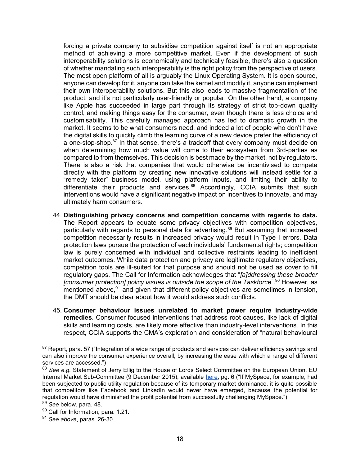forcing a private company to subsidise competition against itself is not an appropriate method of achieving a more competitive market. Even if the development of such interoperability solutions is economically and technically feasible, there's also a question of whether mandating such interoperability is the right policy from the perspective of users. The most open platform of all is arguably the Linux Operating System. It is open source, anyone can develop for it, anyone can take the kernel and modify it, anyone can implement their own interoperability solutions. But this also leads to massive fragmentation of the product, and it's not particularly user-friendly or popular. On the other hand, a company like Apple has succeeded in large part through its strategy of strict top-down quality control, and making things easy for the consumer, even though there is less choice and customisability. This carefully managed approach has led to dramatic growth in the market. It seems to be what consumers need, and indeed a lot of people who don't have the digital skills to quickly climb the learning curve of a new device prefer the efficiency of a one-stop-shop.<sup>87</sup> In that sense, there's a tradeoff that every company must decide on when determining how much value will come to their ecosystem from 3rd-parties as compared to from themselves. This decision is best made by the market, not by regulators. There is also a risk that companies that would otherwise be incentivised to compete directly with the platform by creating new innovative solutions will instead settle for a "remedy taker" business model, using platform inputs, and limiting their ability to differentiate their products and services.<sup>88</sup> Accordingly, CCIA submits that such interventions would have a significant negative impact on incentives to innovate, and may ultimately harm consumers.

- 44. **Distinguishing privacy concerns and competition concerns with regards to data.**  The Report appears to equate some privacy objectives with competition objectives, particularly with regards to personal data for advertising.<sup>89</sup> But assuming that increased competition necessarily results in increased privacy would result in Type I errors. Data protection laws pursue the protection of each individuals' fundamental rights; competition law is purely concerned with individual and collective restraints leading to inefficient market outcomes. While data protection and privacy are legitimate regulatory objectives, competition tools are ill-suited for that purpose and should not be used as cover to fill regulatory gaps. The Call for Information acknowledges that "*[a]ddressing these broader [consumer protection] policy issues is outside the scope of the Taskforce*".<sup>90</sup> However, as mentioned above,  $91$  and given that different policy objectives are sometimes in tension, the DMT should be clear about how it would address such conflicts.
- 45. **Consumer behaviour issues unrelated to market power require industry-wide remedies**. Consumer focused interventions that address root causes, like lack of digital skills and learning costs, are likely more effective than industry-level interventions. In this respect, CCIA supports the CMA's exploration and consideration of "natural behavioural

 $87$  Report, para. 57 ("Integration of a wide range of products and services can deliver efficiency savings and can also improve the consumer experience overall, by increasing the ease with which a range of different services are accessed.")

<sup>88</sup> *See e.g.* Statement of Jerry Ellig to the House of Lords Select Committee on the European Union, EU Internal Market Sub-Committee (9 December 2015), available [here,](https://www.mercatus.org/system/files/Ellig-House-Lords-evidence-Dynamic-Competition.pdf) pg. 6 ("If MySpace, for example, had been subjected to public utility regulation because of its temporary market dominance, it is quite possible that competitors like Facebook and LinkedIn would never have emerged, because the potential for regulation would have diminished the profit potential from successfully challenging MySpace.") <sup>89</sup> *See* below, para. 48.

<sup>90</sup> Call for Information, para. 1.21.

<sup>91</sup> *See above*, paras. 26-30.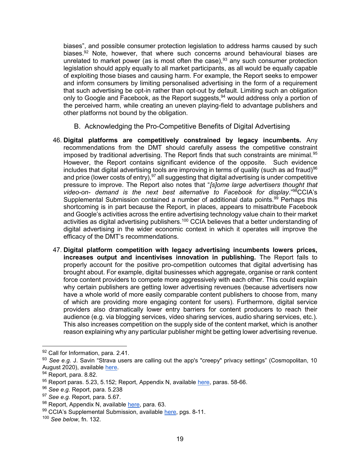biases", and possible consumer protection legislation to address harms caused by such biases.<sup>92</sup> Note, however, that where such concerns around behavioural biases are unrelated to market power (as is most often the case),  $93$  any such consumer protection legislation should apply equally to all market participants, as all would be equally capable of exploiting those biases and causing harm. For example, the Report seeks to empower and inform consumers by limiting personalised advertising in the form of a requirement that such advertising be opt-in rather than opt-out by default. Limiting such an obligation only to Google and Facebook, as the Report suggests, <sup>94</sup> would address only a portion of the perceived harm, while creating an uneven playing-field to advantage publishers and other platforms not bound by the obligation.

- B. Acknowledging the Pro-Competitive Benefits of Digital Advertising
- 46. **Digital platforms are competitively constrained by legacy incumbents.** Any recommendations from the DMT should carefully assess the competitive constraint imposed by traditional advertising. The Report finds that such constraints are minimal.<sup>95</sup> However, the Report contains significant evidence of the opposite. Such evidence includes that digital advertising tools are improving in terms of quality (such as ad fraud)<sup>96</sup> and price (lower costs of entry),  $97$  all suggesting that digital advertising is under competitive pressure to improve. The Report also notes that "*[s]ome large advertisers thought that video-on- demand is the next best alternative to Facebook for display*."<sup>98</sup>CCIA's Supplemental Submission contained a number of additional data points.<sup>99</sup> Perhaps this shortcoming is in part because the Report, in places, appears to misattribute Facebook and Google's activities across the entire advertising technology value chain to their market activities as digital advertising publishers.<sup>100</sup> CCIA believes that a better understanding of digital advertising in the wider economic context in which it operates will improve the efficacy of the DMT's recommendations.
- 47. **Digital platform competition with legacy advertising incumbents lowers prices, increases output and incentivises innovation in publishing.** The Report fails to properly account for the positive pro-competition outcomes that digital advertising has brought about. For example, digital businesses which aggregate, organise or rank content force content providers to compete more aggressively with each other. This could explain why certain publishers are getting lower advertising revenues (because advertisers now have a whole world of more easily comparable content publishers to choose from, many of which are providing more engaging content for users). Furthermore, digital service providers also dramatically lower entry barriers for content producers to reach their audience (e.g. via blogging services, video sharing services, audio sharing services, etc.). This also increases competition on the supply side of the content market, which is another reason explaining why any particular publisher might be getting lower advertising revenue.

<sup>92</sup> Call for Information, para. 2.41.

<sup>93</sup> *See e.g. J. Savin "Strava users are calling out the app's "creepy" privacy settings" (Cosmopolitan, 10* August 2020), available [here.](https://www.cosmopolitan.com/uk/reports/a33560067/strava-privacy-settings/)

<sup>94</sup> Report, para. 8.82.

<sup>95</sup> Report paras. 5.23, 5.152; Report, Appendix N, available [here,](https://assets.publishing.service.gov.uk/media/5efb22c23a6f4023c4d19962/Appendix_N__-_understanding_advertiser_demand_for_digital_advertising.pdf) paras. 58-66.

<sup>96</sup> *See e.g.* Report, para. 5.238

<sup>97</sup> *See e.g.* Report, para. 5.67.

<sup>98</sup> Report, Appendix N, available [here,](https://assets.publishing.service.gov.uk/media/5efb22c23a6f4023c4d19962/Appendix_N__-_understanding_advertiser_demand_for_digital_advertising.pdf) para. 63.

<sup>99</sup> CCIA's Supplemental Submission, available [here,](https://www.ccianet.org/wp-content/uploads/2020/05/CCIA%E2%80%99s-Supplemental-Submission-to-the-UK-CMA-on-Digital-Advertising-12-May-2020.pdf) pgs. 8-11.

<sup>100</sup> *See below*, fn. 132.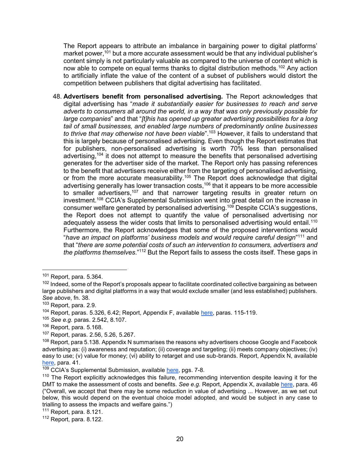The Report appears to attribute an imbalance in bargaining power to digital platforms' market power,<sup>101</sup> but a more accurate assessment would be that any individual publisher's content simply is not particularly valuable as compared to the universe of content which is now able to compete on equal terms thanks to digital distribution methods.<sup>102</sup> Any action to artificially inflate the value of the content of a subset of publishers would distort the competition between publishers that digital advertising has facilitated.

48. **Advertisers benefit from personalised advertising.** The Report acknowledges that digital advertising has "*made it substantially easier for businesses to reach and serve adverts to consumers all around the world, in a way that was only previously possible for large companies*" and that "*[t]his has opened up greater advertising possibilities for a long tail of small businesses, and enabled large numbers of predominantly online businesses to thrive that may otherwise not have been viable*".<sup>103</sup> However, it fails to understand that this is largely because of personalised advertising. Even though the Report estimates that for publishers, non-personalised advertising is worth 70% less than personalised advertising,<sup>104</sup> it does not attempt to measure the benefits that personalised advertising generates for the advertiser side of the market. The Report only has passing references to the benefit that advertisers receive either from the targeting of personalised advertising, or from the more accurate measurability.<sup>105</sup> The Report does acknowledge that digital advertising generally has lower transaction costs,<sup>106</sup> that it appears to be more accessible to smaller advertisers,<sup>107</sup> and that narrower targeting results in greater return on investment.<sup>108</sup> CCIA's Supplemental Submission went into great detail on the increase in consumer welfare generated by personalised advertising.<sup>109</sup> Despite CCIA's suggestions, the Report does not attempt to quantify the value of personalised advertising nor adequately assess the wider costs that limits to personalised advertising would entail.<sup>110</sup> Furthermore, the Report acknowledges that some of the proposed interventions would "*have an impact on platforms' business models and would require careful design*" <sup>111</sup> and that "*there are some potential costs of such an intervention to consumers, advertisers and the platforms themselves*."<sup>112</sup> But the Report fails to assess the costs itself. These gaps in

 $101$  Report, para. 5.364.

<sup>&</sup>lt;sup>102</sup> Indeed, some of the Report's proposals appear to facilitate coordinated collective bargaining as between large publishers and digital platforms in a way that would exclude smaller (and less established) publishers. *See above*, fn. 38.

<sup>103</sup> Report, para. 2.9.

<sup>&</sup>lt;sup>104</sup> Report, paras. 5.326, 6.42; Report, Appendix F, available [here,](https://assets.publishing.service.gov.uk/media/5efb1d48d3bf7f7695a34ade/Appendix_F_-_role_of_data_in_digital_advertising_v.4.pdf) paras. 115-119.

<sup>105</sup> *See e.g.* paras. 2.542, 8.107.

<sup>106</sup> Report, para. 5.168.

<sup>107</sup> Report, paras. 2.56, 5.26, 5.267.

 $108$  Report, para 5.138. Appendix N summarises the reasons why advertisers choose Google and Facebook advertising as: (i) awareness and reputation; (ii) coverage and targeting; (ii) meets company objectives; (iv) easy to use; (v) value for money; (vi) ability to retarget and use sub-brands. Report, Appendix N, available [here,](https://assets.publishing.service.gov.uk/media/5efb22c23a6f4023c4d19962/Appendix_N__-_understanding_advertiser_demand_for_digital_advertising.pdf) para. 41.

<sup>&</sup>lt;sup>109</sup> CCIA's Supplemental Submission, available [here,](https://www.ccianet.org/wp-content/uploads/2020/05/CCIA%E2%80%99s-Supplemental-Submission-to-the-UK-CMA-on-Digital-Advertising-12-May-2020.pdf) pgs. 7-8.

<sup>&</sup>lt;sup>110</sup> The Report explicitly acknowledges this failure, recommending intervention despite leaving it for the DMT to make the assessment of costs and benefits. *See e.g.* Report, Appendix X, available here, para. 46 ("Overall, we accept that there may be some reduction in value of advertising ... However, as we set out below, this would depend on the eventual choice model adopted, and would be subject in any case to trialling to assess the impacts and welfare gains.")

 $111$  Report, para. 8.121.

 $112$  Report, para. 8.122.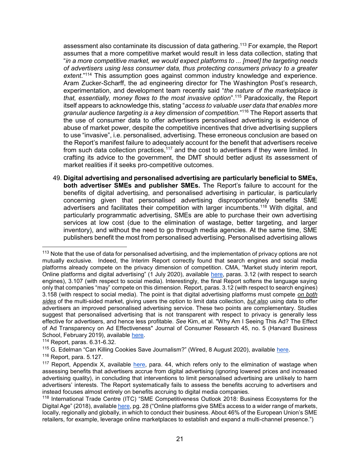assessment also contaminate its discussion of data gathering.<sup>113</sup> For example, the Report assumes that a more competitive market would result in less data collection, stating that "*in a more competitive market, we would expect platforms to ... [meet] the targeting needs of advertisers using less consumer data, thus protecting consumers privacy to a greater extent*."<sup>114</sup> This assumption goes against common industry knowledge and experience. Aram Zucker-Scharff, the ad engineering director for The Washington Post's research, experimentation, and development team recently said "*the nature of the marketplace is that, essentially, money flows to the most invasive option*".<sup>115</sup> Paradoxically, the Report itself appears to acknowledge this, stating "*access to valuable user data that enables more granular audience targeting is a key dimension of competition.*" <sup>116</sup> The Report asserts that the use of consumer data to offer advertisers personalised advertising is evidence of abuse of market power, despite the competitive incentives that drive advertising suppliers to use "invasive", i.e. personalised, advertising. These erroneous conclusion are based on the Report's manifest failure to adequately account for the benefit that advertisers receive from such data collection practices,<sup>117</sup> and the cost to advertisers if they were limited. In crafting its advice to the government, the DMT should better adjust its assessment of market realities if it seeks pro-competitive outcomes.

49. **Digital advertising and personalised advertising are particularly beneficial to SMEs, both advertiser SMEs and publisher SMEs.** The Report's failure to account for the benefits of digital advertising, and personalised advertising in particular, is particularly concerning given that personalised advertising disproportionately benefits SME advertisers and facilitates their competition with larger incumbents.<sup>118</sup> With digital, and particularly programmatic advertising, SMEs are able to purchase their own advertising services at low cost (due to the elimination of wastage, better targeting, and larger inventory), and without the need to go through media agencies. At the same time, SME publishers benefit the most from personalised advertising. Personalised advertising allows

<sup>&</sup>lt;sup>113</sup> Note that the use of data for personalised advertising, and the implementation of privacy options are not mutually exclusive. Indeed, the Interim Report correctly found that search engines and social media platforms already compete on the privacy dimension of competition. CMA, "Market study interim report, Online platforms and digital advertising" (1 July 2020), available [here,](https://assets.publishing.service.gov.uk/media/5ed0f75bd3bf7f4602e98330/Interim_report_---_web.pdf) paras. 3.12 (with respect to search engines), 3.107 (with respect to social media). Interestingly, the final Report softens the language saying only that companies "may" compete on this dimension. Report, paras. 3.12 (with respect to search engines) 3.158 (with respect to social media). The point is that digital advertising platforms must compete *on both sides* of the multi-sided market, giving users the option to limit data collection, *but also* using data to offer advertisers an improved personalised advertising service. These two points are complementary. Studies suggest that personalised advertising that is not transparent with respect to privacy is generally less effective for advertisers, and hence less profitable. *See* Kim, et al. "Why Am I Seeing This Ad? The Effect of Ad Transparency on Ad Effectiveness" Journal of Consumer Research 45, no. 5 (Harvard Business School, February 2019), available [here.](https://www.hbs.edu/faculty/Pages/item.aspx?num=54407)

<sup>114</sup> Report, paras. 6.31-6.32.

<sup>&</sup>lt;sup>115</sup> G. Edelman "Can Killing Cookies Save Journalism?" (Wired, 8 August 2020), available [here.](https://www.wired.com/story/can-killing-cookies-save-journalism/)

 $116$  Report, para. 5.127.

<sup>&</sup>lt;sup>117</sup> Report, Appendix X, available [here,](https://assets.publishing.service.gov.uk/media/5efc4756e90e075c5492d5b7/Appendix_X_-_assessment_of_pro-competition_interventions_to_enable_consumer_choice_over_personalised_advertising.pdf) para. 44, which refers only to the elimination of wastage when assessing benefits that advertisers accrue from digital advertising (ignoring lowered prices and increased advertising quality), in concluding that interventions to limit personalised advertising are unlikely to harm advertisers' interests. The Report systematically fails to assess the benefits accruing to advertisers and instead focuses almost entirely on benefits accruing to digital media companies.

<sup>118</sup> International Trade Centre (ITC) "SME Competitiveness Outlook 2018: Business Ecosystems for the Digital Age" (2018), available [here,](http://www.intracen.org/uploadedFiles/intracenorg/Content/Publications/SMECO2018.pdf) pg. 28 ("Online platforms give SMEs access to a wider range of markets, locally, regionally and globally, in which to conduct their business. About 46% of the European Union's SME retailers, for example, leverage online marketplaces to establish and expand a multi-channel presence.")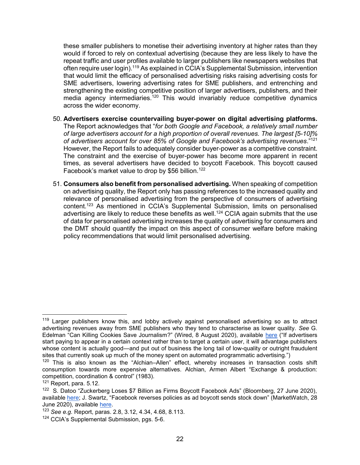these smaller publishers to monetise their advertising inventory at higher rates than they would if forced to rely on contextual advertising (because they are less likely to have the repeat traffic and user profiles available to larger publishers like newspapers websites that often require user login).<sup>119</sup> As explained in CCIA's Supplemental Submission, intervention that would limit the efficacy of personalised advertising risks raising advertising costs for SME advertisers, lowering advertising rates for SME publishers, and entrenching and strengthening the existing competitive position of larger advertisers, publishers, and their media agency intermediaries.<sup>120</sup> This would invariably reduce competitive dynamics across the wider economy.

- 50. **Advertisers exercise countervailing buyer-power on digital advertising platforms.**  The Report acknowledges that "*for both Google and Facebook, a relatively small number of large advertisers account for a high proportion of overall revenues. The largest [5-10]% of advertisers account for over 85% of Google and Facebook's advertising revenues*."<sup>121</sup> However, the Report fails to adequately consider buyer-power as a competitive constraint. The constraint and the exercise of buyer-power has become more apparent in recent times, as several advertisers have decided to boycott Facebook. This boycott caused Facebook's market value to drop by \$56 billion.<sup>122</sup>
- 51. **Consumers also benefit from personalised advertising.** When speaking of competition on advertising quality, the Report only has passing references to the increased quality and relevance of personalised advertising from the perspective of consumers of advertising content.<sup>123</sup> As mentioned in CCIA's Supplemental Submission, limits on personalised advertising are likely to reduce these benefits as well.<sup>124</sup> CCIA again submits that the use of data for personalised advertising increases the quality of advertising for consumers and the DMT should quantify the impact on this aspect of consumer welfare before making policy recommendations that would limit personalised advertising.

 $\overline{a}$ <sup>119</sup> Larger publishers know this, and lobby actively against personalised advertising so as to attract advertising revenues away from SME publishers who they tend to characterise as lower quality. *See* G. Edelman "Can Killing Cookies Save Journalism?" (Wired, 8 August 2020), available [here](https://www.wired.com/story/can-killing-cookies-save-journalism/) ("If advertisers start paying to appear in a certain context rather than to target a certain user, it will advantage publishers whose content is actually good—and put out of business the long tail of low-quality or outright fraudulent sites that currently soak up much of the money spent on automated programmatic advertising.")

 $120$  This is also known as the "Alchian–Allen" effect, whereby increases in transaction costs shift consumption towards more expensive alternatives. Alchian, Armen Albert "Exchange & production: competition, coordination & control" (1983).

<sup>121</sup> Report, para. 5.12.

<sup>&</sup>lt;sup>122</sup> S. Datoo "Zuckerberg Loses \$7 Billion as Firms Boycott Facebook Ads" (Bloomberg, 27 June 2020), available [here;](https://www.bloomberg.com/news/articles/2020-06-27/mark-zuckerberg-loses-7-billion-as-companies-drop-facebook-ads) J. Swartz, "Facebook reverses policies as ad boycott sends stock down" (MarketWatch, 28 June 2020), available [here.](https://www.marketwatch.com/story/facebook-shares-drop-7-as-unilever-halts-advertising-prompting-changes-at-social-networking-giant-2020-06-26)

<sup>123</sup> *See e.g.* Report, paras. 2.8, 3.12, 4.34, 4.68, 8.113.

<sup>&</sup>lt;sup>124</sup> CCIA's Supplemental Submission, pgs. 5-6.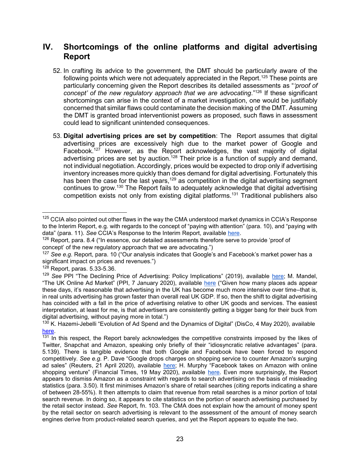# **IV. Shortcomings of the online platforms and digital advertising Report**

- 52. In crafting its advice to the government, the DMT should be particularly aware of the following points which were not adequately appreciated in the Report.<sup>125</sup> These points are particularly concerning given the Report describes its detailed assessments as "*'proof of concept' of the new regulatory approach that we are advocating*."<sup>126</sup> If these significant shortcomings can arise in the context of a market investigation, one would be justifiably concerned that similar flaws could contaminate the decision making of the DMT. Assuming the DMT is granted broad interventionist powers as proposed, such flaws in assessment could lead to significant unintended consequences.
- 53. **Digital advertising prices are set by competition**: The Report assumes that digital advertising prices are excessively high due to the market power of Google and Facebook.<sup>127</sup> However, as the Report acknowledges, the vast majority of digital advertising prices are set by auction.<sup>128</sup> Their price is a function of supply and demand, not individual negotiation. Accordingly, prices would be expected to drop only if advertising inventory increases more quickly than does demand for digital advertising. Fortunately this has been the case for the last years,<sup>129</sup> as competition in the digital advertising segment continues to grow.<sup>130</sup> The Report fails to adequately acknowledge that digital advertising competition exists not only from existing digital platforms.<sup>131</sup> Traditional publishers also

 $125$  CCIA also pointed out other flaws in the way the CMA understood market dynamics in CCIA's Response to the Interim Report, e.g. with regards to the concept of "paying with attention" (para. 10), and "paying with data" (para. 11). *See* CCIA's Response to the Interim Report, available [here.](https://assets.publishing.service.gov.uk/media/5e8c8067d3bf7f1fb6491b12/200214_CCIA_Response_to_Interim_Report.pdf)

 $126$  Report, para. 8.4 ("In essence, our detailed assessments therefore serve to provide 'proof of concept' of the new regulatory approach that we are advocating.")

<sup>127</sup> *See e.g.* Report, para. 10 ("Our analysis indicates that Google's and Facebook's market power has a significant impact on prices and revenues.")

<sup>128</sup> Report, paras. 5.33-5.36.

<sup>&</sup>lt;sup>129</sup> See PPI "The Declining Price of Advertising: Policy Implications" (2019), available [here;](https://www.progressivepolicy.org/issues/regulatory-reform/the-declining-price-of-advertising-policy-implications-2/) M. Mandel, "The UK Online Ad Market" (PPI, 7 January 2020), available [here](https://www.progressivepolicy.org/blogs/the-uk-online-ad-market/) ("Given how many places ads appear these days, it's reasonable that advertising in the UK has become much more intensive over time–that is, in real units advertising has grown faster than overall real UK GDP. If so, then the shift to digital advertising has coincided with a fall in the price of advertising relative to other UK goods and services. The easiest interpretation, at least for me, is that advertisers are consistently getting a bigger bang for their buck from digital advertising, without paying more in total.")

 $130$  K. Hazemi-Jebelli "Evolution of Ad Spend and the Dynamics of Digital" (DisCo, 4 May 2020), available [here.](https://www.project-disco.org/competition/050420-evolution-of-ad-spend-and-the-dynamics-of-digital/)

 $131$  In this respect, the Report barely acknowledges the competitive constraints imposed by the likes of Twitter, Snapchat and Amazon, speaking only briefly of their "idiosyncratic relative advantages" (para. 5.139). There is tangible evidence that both Google and Facebook have been forced to respond competitively. *See e.g.* P. Dave "Google drops charges on shopping service to counter Amazon's surging ad sales" (Reuters, 21 April 2020), available [here;](https://uk.reuters.com/article/us-google-amazon/google-drops-charges-on-shopping-service-to-counter-amazons-surging-ad-sales-idUKKCN2231UC) H. Murphy "Facebook takes on Amazon with online shopping venture" (Financial Times, 19 May 2020), available [here.](https://www.ft.com/content/690ee286-99b6-4fa8-b02d-cfd50448a53d) Even more surprisingly, the Report appears to dismiss Amazon as a constraint with regards to search advertising on the basis of misleading statistics (para. 3.50). It first minimises Amazon's share of retail searches (citing reports indicating a share of between 28-55%). It then attempts to claim that revenue from retail searches is a minor portion of total search revenue. In doing so, it appears to cite statistics on the portion of search advertising purchased by the retail sector instead. *See* Report, fn. 103. The CMA does not explain how the amount of money spent by the retail sector on search advertising is relevant to the assessment of the amount of money search engines derive from product-related search queries, and yet the Report appears to equate the two.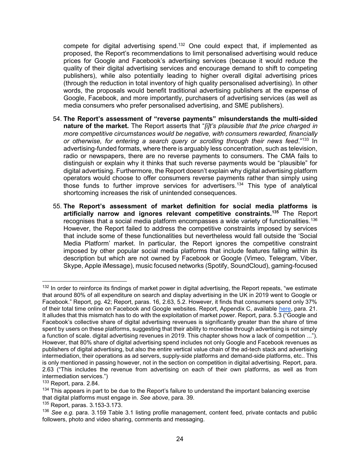compete for digital advertising spend.<sup>132</sup> One could expect that, if implemented as proposed, the Report's recommendations to limit personalised advertising would reduce prices for Google and Facebook's advertising services (because it would reduce the quality of their digital advertising services and encourage demand to shift to competing publishers), while also potentially leading to higher overall digital advertising prices (through the reduction in total inventory of high quality personalised advertising). In other words, the proposals would benefit traditional advertising publishers at the expense of Google, Facebook, and more importantly, purchasers of advertising services (as well as media consumers who prefer personalised advertising, and SME publishers).

- 54. **The Report's assessment of "reverse payments" misunderstands the multi-sided nature of the market.** The Report asserts that "*[i]t's plausible that the price charged in more competitive circumstances would be negative, with consumers rewarded, financially or otherwise, for entering a search query or scrolling through their news feed*."<sup>133</sup> In advertising-funded formats, where there is arguably less concentration, such as television, radio or newspapers, there are no reverse payments to consumers. The CMA fails to distinguish or explain why it thinks that such reverse payments would be "plausible" for digital advertising. Furthermore, the Report doesn't explain why digital advertising platform operators would choose to offer consumers reverse payments rather than simply using those funds to further improve services for advertisers.<sup>134</sup> This type of analytical shortcoming increases the risk of unintended consequences.
- 55. **The Report's assessment of market definition for social media platforms is artificially narrow and ignores relevant competitive constraints.<sup>135</sup>** The Report recognises that a social media platform encompasses a wide variety of functionalities.<sup>136</sup> However, the Report failed to address the competitive constraints imposed by services that include some of these functionalities but nevertheless would fall outside the 'Social Media Platform' market. In particular, the Report ignores the competitive constraint imposed by other popular social media platforms that include features falling within its description but which are not owned by Facebook or Google (Vimeo, Telegram, Viber, Skype, Apple iMessage), music focused networks (Spotify, SoundCloud), gaming-focused

 $132$  In order to reinforce its findings of market power in digital advertising, the Report repeats, "we estimate that around 80% of all expenditure on search and display advertising in the UK in 2019 went to Google or Facebook." Report, pg. 42; Report, paras. 16, 2.63, 5.2. However, it finds that consumers spend only 37% of their total time online on Facebook and Google websites. Report, Appendix C, available [here,](https://assets.publishing.service.gov.uk/media/5efc3ee0d3bf7f769866dc44/Appendix_C_-_Market_Outcomes_v.12_.pdf) para. 21. It alludes that this mismatch has to do with the exploitation of market power. Report, para. 5.3 ("Google and Facebook's collective share of digital advertising revenues is significantly greater than the share of time spent by users on these platforms, suggesting that their ability to monetise through advertising is not simply a function of scale. digital advertising revenues in 2019. This chapter shows how a lack of competition ..."). However, that 80% share of digital advertising spend includes not only Google and Facebook revenues as publishers of digital advertising, but also the entire vertical value chain of the ad-tech stack and advertising intermediation, their operations as ad servers, supply-side platforms and demand-side platforms, etc.. This is only mentioned in passing however, not in the section on competition in digital advertising. Report, para. 2.63 ("This includes the revenue from advertising on each of their own platforms, as well as from intermediation services.")

<sup>133</sup> Report, para. 2.84.

 $134$  This appears in part to be due to the Report's failure to understand the important balancing exercise that digital platforms must engage in. *See above*, para. 39.

<sup>135</sup> Report, paras. 3.153-3.173.

<sup>136</sup> *See e.g.* para. 3.159 Table 3.1 listing profile management, content feed, private contacts and public followers, photo and video sharing, comments and messaging.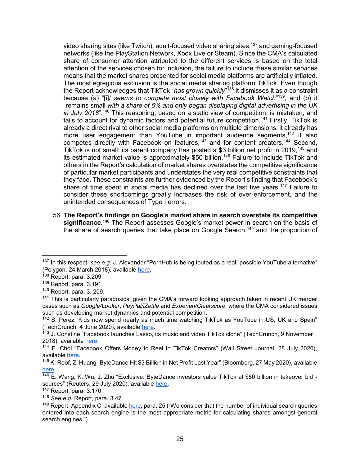video sharing sites (like Twitch), adult-focused video sharing sites,<sup>137</sup> and gaming-focused networks (like the PlayStation Network, Xbox Live or Steam). Since the CMA's calculated share of consumer attention attributed to the different services is based on the total attention of the services chosen for inclusion, the failure to include these similar services means that the market shares presented for social media platforms are artificially inflated. The most egregious exclusion is the social media sharing platform TikTok. Even though the Report acknowledges that TikTok "*has grown quickly*" <sup>138</sup> it dismisses it as a constraint because (a) "[i]*t seems to compete most closely with Facebook Watch*" <sup>139</sup>, and (b) it "remains small *with a share of 6% and only began displaying digital advertising in the UK in July 2018*".<sup>140</sup> This reasoning, based on a static view of competition, is mistaken, and fails to account for dynamic factors and potential future competition.<sup>141</sup> Firstly, TikTok is already a direct rival to other social media platforms on multiple dimensions: it already has more user engagement than YouTube in important audience segments,<sup>142</sup> it also competes directly with Facebook on features,<sup> $143$ </sup> and for content creators.<sup>144</sup> Second, TikTok is not small: its parent company has posted a \$3 billion net profit in 2019,<sup>145</sup> and its estimated market value is approximately \$50 billion.<sup>146</sup> Failure to include TikTok and others in the Report's calculation of market shares overstates the competitive significance of particular market participants and understates the very real competitive constraints that they face. These constraints are further evidenced by the Report's finding that Facebook's share of time spent in social media has declined over the last five years.<sup>147</sup> Failure to consider these shortcomings greatly increases the risk of over-enforcement, and the unintended consequences of Type I errors.

56. **The Report's findings on Google's market share in search overstate its competitive significance.<sup>148</sup>** The Report assesses Google's market power in search on the basis of the share of search queries that take place on Google Search,<sup>149</sup> and the proportion of

<sup>137</sup> In this respect, *see e.g.* J. Alexander "PornHub is being touted as a real, possible YouTube alternative" (Polygon, 24 March 2018), available [here.](https://www.polygon.com/2018/3/24/17159474/pornhub-gun-videos-youtube-alternative-platform-ad-revenue)

 $138$  Report, para. 3.209.

<sup>139</sup> Report, para. 3.191.

<sup>140</sup> Report, para. 3. 209.

 $141$  This is particularly paradoxical given the CMA's forward looking approach taken in recent UK merger cases such as *Google/Looker*, *PayPal/iZettle* and *Experian/Clearscore*, where the CMA considered issues such as developing market dynamics and potential competition.

<sup>&</sup>lt;sup>142</sup> S. Perez "Kids now spend nearly as much time watching TikTok as YouTube in US, UK and Spain" (TechCrunch, 4 June 2020), available [here.](https://techcrunch.com/2020/06/04/kids-now-spend-nearly-as-much-time-watching-tiktok-as-youtube-in-u-s-u-k-and-spain/)

<sup>&</sup>lt;sup>143</sup> J. Constine "Facebook launches Lasso, its music and video TikTok clone" (TechCrunch, 9 November 2018), available [here.](https://techcrunch.com/2018/11/09/lasso-facebook-app-store/)

<sup>&</sup>lt;sup>144</sup> E. Choi "Facebook Offers Money to Reel In TikTok Creators" (Wall Street Journal, 28 July 2020), available [here.](https://www.wsj.com/articles/facebook-seeks-to-reel-in-tiktok-creators-raising-stakes-in-social-media-rivalry-11595928600)

<sup>145</sup> K. Roof, Z. Huang "ByteDance Hit \$3 Billion in Net Profit Last Year" (Bloomberg, 27 May 2020), available [here.](https://www.bloomberg.com/news/articles/2020-05-27/bytedance-is-said-to-hit-3-billion-in-profit-as-revenue-doubles)

 $\frac{146}{146}$  E. Wang. K. Wu, J. Zhu "Exclusive: ByteDance investors value TikTok at \$50 billion in takeover bid sources" (Reuters, 29 July 2020), available [here.](https://www.reuters.com/article/us-bytedance-tiktok-exclusive/exclusive-bytedance-investors-value-tiktok-at-50-billion-in-takeover-bid-sources-idUSKCN24U1M9)

<sup>147</sup> Report, para. 3.170.

<sup>148</sup> *See e.g.* Report, para. 3.47.

<sup>&</sup>lt;sup>149</sup> Report, Appendix C, available [here,](https://assets.publishing.service.gov.uk/media/5efc3ee0d3bf7f769866dc44/Appendix_C_-_Market_Outcomes_v.12_.pdf) para. 25 ("We consider that the number of individual search queries entered into each search engine is the most appropriate metric for calculating shares amongst general search engines.")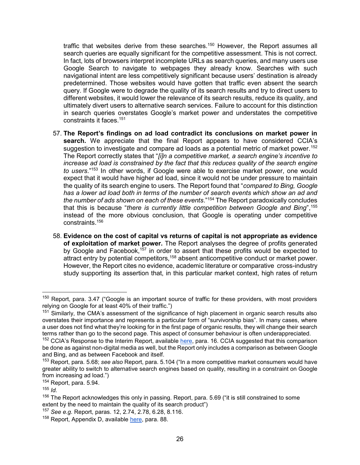traffic that websites derive from these searches.<sup>150</sup> However, the Report assumes all search queries are equally significant for the competitive assessment. This is not correct. In fact, lots of browsers interpret incomplete URLs as search queries, and many users use Google Search to navigate to webpages they already know. Searches with such navigational intent are less competitively significant because users' destination is already predetermined. Those websites would have gotten that traffic even absent the search query. If Google were to degrade the quality of its search results and try to direct users to different websites, it would lower the relevance of its search results, reduce its quality, and ultimately divert users to alternative search services. Failure to account for this distinction in search queries overstates Google's market power and understates the competitive constraints it faces.<sup>151</sup>

- 57. **The Report's findings on ad load contradict its conclusions on market power in search.** We appreciate that the final Report appears to have considered CCIA's suggestion to investigate and compare ad loads as a potential metric of market power.<sup>152</sup> The Report correctly states that "*[i]n a competitive market, a search engine's incentive to increase ad load is constrained by the fact that this reduces quality of the search engine to users*."<sup>153</sup> In other words, if Google were able to exercise market power, one would expect that it would have higher ad load, since it would not be under pressure to maintain the quality of its search engine to users. The Report found that "*compared to Bing, Google has a lower ad load both in terms of the number of search events which show an ad and the number of ads shown on each of these events*."<sup>154</sup> The Report paradoxically concludes that this is because "*there is currently little competition between Google and Bing*",<sup>155</sup> instead of the more obvious conclusion, that Google is operating under competitive constraints.<sup>156</sup>
- 58. **Evidence on the cost of capital vs returns of capital is not appropriate as evidence of exploitation of market power.** The Report analyses the degree of profits generated by Google and Facebook,<sup>157</sup> in order to assert that these profits would be expected to attract entry by potential competitors,<sup>158</sup> absent anticompetitive conduct or market power. However, the Report cites no evidence, academic literature or comparative cross-industry study supporting its assertion that, in this particular market context, high rates of return

 $150$  Report, para. 3.47 ("Google is an important source of traffic for these providers, with most providers relying on Google for at least 40% of their traffic.")

 $151$  Similarly, the CMA's assessment of the significance of high placement in organic search results also overstates their importance and represents a particular form of "survivorship bias". In many cases, where a user does not find what they're looking for in the first page of organic results, they will change their search terms rather than go to the second page. This aspect of consumer behaviour is often underappreciated.

<sup>&</sup>lt;sup>152</sup> CCIA's Response to the Interim Report, available [here,](https://assets.publishing.service.gov.uk/media/5e8c8067d3bf7f1fb6491b12/200214_CCIA_Response_to_Interim_Report.pdf) para. 16. CCIA suggested that this comparison be done as against non-digital media as well, but the Report only includes a comparison as between Google and Bing, and as between Facebook and itself.

<sup>153</sup> Report, para. 5.68; *see also* Report, para. 5.104 ("In a more competitive market consumers would have greater ability to switch to alternative search engines based on quality, resulting in a constraint on Google from increasing ad load.")

<sup>154</sup> Report, para. 5.94.

 $155$  *Id.* 

 $156$  The Report acknowledges this only in passing. Report, para. 5.69 ("it is still constrained to some extent by the need to maintain the quality of its search product")

<sup>157</sup> *See e.g.* Report, paras. 12, 2.74, 2.78, 6.28, 8.116.

<sup>&</sup>lt;sup>158</sup> Report, Appendix D, available [here,](https://assets.publishing.service.gov.uk/media/5efb1c97e90e075c58556244/Appendix_D_Profitability_of_Google_and_Facebook_non-confidential.pdf) para. 88.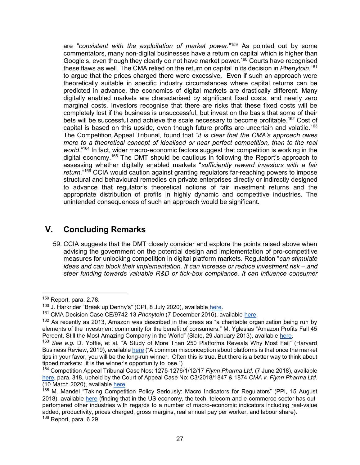are "*consistent with the exploitation of market power.*" <sup>159</sup> As pointed out by some commentators, many non-digital businesses have a return on capital which is higher than Google's, even though they clearly do not have market power.<sup>160</sup> Courts have recognised these flaws as well. The CMA relied on the return on capital in its decision in *Phenytoin*, 161 to argue that the prices charged there were excessive. Even if such an approach were theoretically suitable in specific industry circumstances where capital returns can be predicted in advance, the economics of digital markets are drastically different. Many digitally enabled markets are characterised by significant fixed costs, and nearly zero marginal costs. Investors recognise that there are risks that these fixed costs will be completely lost if the business is unsuccessful, but invest on the basis that some of their bets will be successful and achieve the scale necessary to become profitable.<sup>162</sup> Cost of capital is based on this upside, even though future profits are uncertain and volatile.<sup>163</sup> The Competition Appeal Tribunal, found that "*it is clear that the CMA's approach owes more to a theoretical concept of idealised or near perfect competition, than to the real world*."<sup>164</sup> In fact, wider macro-economic factors suggest that competition is working in the digital economy.<sup>165</sup> The DMT should be cautious in following the Report's approach to assessing whether digitally enabled markets "*sufficiently reward investors with a fair return.*" <sup>166</sup> CCIA would caution against granting regulators far-reaching powers to impose structural and behavioural remedies on private enterprises directly or indirectly designed to advance that regulator's theoretical notions of fair investment returns and the appropriate distribution of profits in highly dynamic and competitive industries. The unintended consequences of such an approach would be significant.

# **V. Concluding Remarks**

59. CCIA suggests that the DMT closely consider and explore the points raised above when advising the government on the potential design and implementation of pro-competitive measures for unlocking competition in digital platform markets. Regulation "*can stimulate ideas and can block their implementation. It can increase or reduce investment risk – and steer funding towards valuable R&D or tick-box compliance. It can influence consumer* 

 $\overline{a}$ <sup>159</sup> Report, para. 2.78.

<sup>&</sup>lt;sup>160</sup> J. Harkrider "Break up Denny's" (CPI, 8 July 2020), available [here.](https://www.competitionpolicyinternational.com/break-up-dennys/)

<sup>161</sup> CMA Decision Case CE/9742-13 *Phenytoin* (7 December 2016), available [here.](https://assets.publishing.service.gov.uk/media/594240cfe5274a5e4e00024e/phenytoin-full-non-confidential-decision.pdf)

 $162$  As recently as 2013, Amazon was described in the press as "a charitable organization being run by elements of the investment community for the benefit of consumers." M. Yglesias "Amazon Profits Fall 45 Percent, Still the Most Amazing Company in the World" (Slate, 29 January 2013), available [here.](https://slate.com/business/2013/01/amazon-q4-profits-fall-45-percent.html)

<sup>163</sup> *See e.g.* D. Yoffie, et al. "A Study of More Than 250 Platforms Reveals Why Most Fail" (Harvard Business Review, 2019), available [here](https://hbr.org/2019/05/a-study-of-more-than-250-platforms-reveals-why-most-fail) ("A common misconception about platforms is that once the market tips in your favor, you will be the long-run winner. Often this is true. But there is a better way to think about tipped markets: it is the winner's opportunity to lose.")

<sup>164</sup> Competition Appeal Tribunal Case Nos: 1275-1276/1/12/17 *Flynn Pharma Ltd.* (7 June 2018), available [here,](https://www.catribunal.org.uk/sites/default/files/2018-08/1275-1276_Flynn_Judgment_CAT_11_070618.pdf) para. 318, upheld by the Court of Appeal Case No: C3/2018/1847 & 1874 *CMA v. Flynn Pharma Ltd.*  (10 March 2020), available [here.](https://www.monckton.com/wp-content/uploads/2020/03/MPB-JB-CMA-v-Flynn-Pharma-Ltd-and-Ors.pdf)

<sup>&</sup>lt;sup>165</sup> M. Mandel "Taking Competition Policy Seriously: Macro Indicators for Regulators" (PPI, 15 August 2018), available [here](https://www.ftc.gov/system/files/documents/public_comments/2018/08/ftc-2018-0048-d-0034-151021.pdf) (finding that in the US economy, the tech, telecom and e-commerce sector has outperfomered other industries with regards to a number of macro-economic indicators including real-value added, productivity, prices charged, gross margins, real annual pay per worker, and labour share).  $166$  Report, para. 6.29.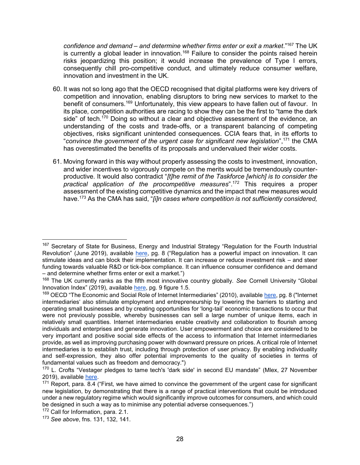*confidence and demand – and determine whether firms enter or exit a market*."<sup>167</sup> The UK is currently a global leader in innovation.<sup>168</sup> Failure to consider the points raised herein risks jeopardizing this position; it would increase the prevalence of Type I errors, consequently chill pro-competitive conduct, and ultimately reduce consumer welfare, innovation and investment in the UK.

- 60. It was not so long ago that the OECD recognised that digital platforms were key drivers of competition and innovation, enabling disruptors to bring new services to market to the benefit of consumers.<sup>169</sup> Unfortunately, this view appears to have fallen out of favour. In its place, competition authorities are racing to show they can be the first to "tame the dark side" of tech.<sup>170</sup> Doing so without a clear and objective assessment of the evidence, an understanding of the costs and trade-offs, or a transparent balancing of competing objectives, risks significant unintended consequences. CCIA fears that, in its efforts to "*convince the government of the urgent case for significant new legislation*",<sup>171</sup> the CMA has overestimated the benefits of its proposals and undervalued their wider costs.
- 61. Moving forward in this way without properly assessing the costs to investment, innovation, and wider incentives to vigorously compete on the merits would be tremendously counterproductive. It would also contradict "*[t]he remit of the Taskforce [which] is to consider the practical application of the procompetitive measures*".<sup>172</sup> This requires a proper assessment of the existing competitive dynamics and the impact that new measures would have.<sup>173</sup> As the CMA has said, "*[i]n cases where competition is not sufficiently considered,*

<sup>&</sup>lt;sup>167</sup> Secretary of State for Business, Energy and Industrial Strategy "Regulation for the Fourth Industrial Revolution" (June 2019), available [here,](https://assets.publishing.service.gov.uk/government/uploads/system/uploads/attachment_data/file/807792/regulation-fourth-industrial-strategy-white-paper-web.pdf) pg. 8 ("Regulation has a powerful impact on innovation. It can stimulate ideas and can block their implementation. It can increase or reduce investment risk – and steer funding towards valuable R&D or tick-box compliance. It can influence consumer confidence and demand – and determine whether firms enter or exit a market.")

<sup>168</sup> The UK currently ranks as the fifth most innovative country globally. *See* Cornell University "Global Innovation Index" (2019), available [here,](https://www.globalinnovationindex.org/gii-2019-report) pg. 9 figure 1.5.

<sup>&</sup>lt;sup>169</sup> OECD "The Economic and Social Role of Internet Intermediaries" (2010), available [here,](https://www.oecd.org/internet/ieconomy/44949023.pdf) pg. 8 ("Internet intermediaries' also stimulate employment and entrepreneurship by lowering the barriers to starting and operating small businesses and by creating opportunities for 'long-tail' economic transactions to occur that were not previously possible, whereby businesses can sell a large number of unique items, each in relatively small quantities. Internet intermediaries enable creativity and collaboration to flourish among individuals and enterprises and generate innovation. User empowerment and choice are considered to be very important and positive social side effects of the access to information that Internet intermediaries provide, as well as improving purchasing power with downward pressure on prices. A critical role of Internet intermediaries is to establish trust, including through protection of user privacy. By enabling individuality and self-expression, they also offer potential improvements to the quality of societies in terms of fundamental values such as freedom and democracy.")

<sup>&</sup>lt;sup>170</sup> L. Crofts "Vestager pledges to tame tech's 'dark side' in second EU mandate" (Mlex, 27 November 2019), available [here.](https://mlexmarketinsight.com/insights-center/editors-picks/area-of-expertise/antitrust/vestager-pledges-to-tame-techs-dark-side-in-second-eu-mandate)

 $171$  Report, para. 8.4 ("First, we have aimed to convince the government of the urgent case for significant new legislation, by demonstrating that there is a range of practical interventions that could be introduced under a new regulatory regime which would significantly improve outcomes for consumers, and which could be designed in such a way as to minimise any potential adverse consequences.")

<sup>&</sup>lt;sup>172</sup> Call for Information, para. 2.1.

<sup>173</sup> *See above*, fns. 131, 132, 141.